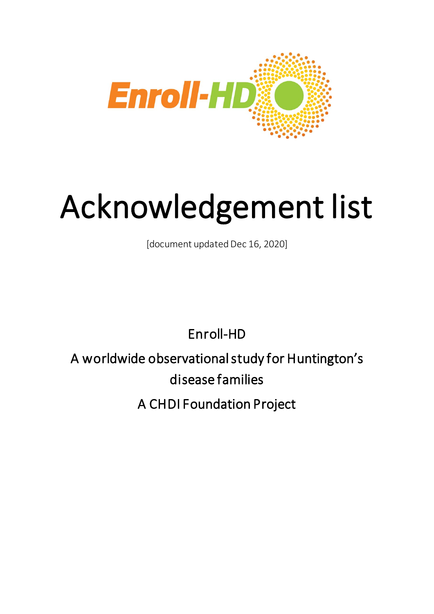

## Acknowledgement list

Enroll-HD

A worldwide observational study for Huntington's disease families

A CHDI Foundation Project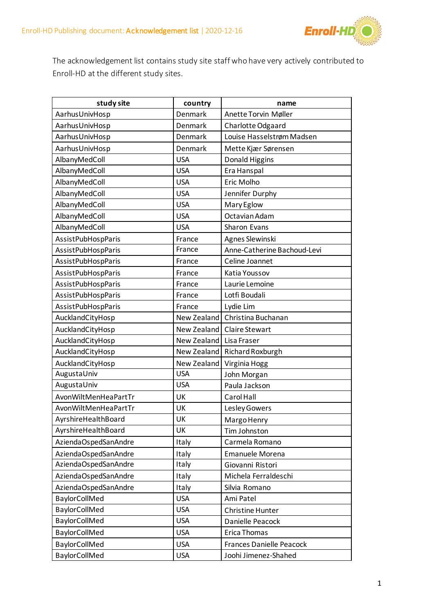

The acknowledgement list contains study site staff who have very actively contributed to Enroll-HD at the different study sites.

| study site           | country     | name                            |
|----------------------|-------------|---------------------------------|
| AarhusUnivHosp       | Denmark     | Anette Torvin Møller            |
| AarhusUnivHosp       | Denmark     | Charlotte Odgaard               |
| AarhusUnivHosp       | Denmark     | Louise Hasselstrøm Madsen       |
| AarhusUnivHosp       | Denmark     | Mette Kjær Sørensen             |
| AlbanyMedColl        | <b>USA</b>  | Donald Higgins                  |
| AlbanyMedColl        | <b>USA</b>  | Era Hanspal                     |
| AlbanyMedColl        | <b>USA</b>  | Eric Molho                      |
| AlbanyMedColl        | <b>USA</b>  | Jennifer Durphy                 |
| AlbanyMedColl        | <b>USA</b>  | Mary Eglow                      |
| AlbanyMedColl        | <b>USA</b>  | Octavian Adam                   |
| AlbanyMedColl        | <b>USA</b>  | Sharon Evans                    |
| AssistPubHospParis   | France      | Agnes Slewinski                 |
| AssistPubHospParis   | France      | Anne-Catherine Bachoud-Levi     |
| AssistPubHospParis   | France      | Celine Joannet                  |
| AssistPubHospParis   | France      | Katia Youssov                   |
| AssistPubHospParis   | France      | Laurie Lemoine                  |
| AssistPubHospParis   | France      | Lotfi Boudali                   |
| AssistPubHospParis   | France      | Lydie Lim                       |
| AucklandCityHosp     | New Zealand | Christina Buchanan              |
| AucklandCityHosp     | New Zealand | <b>Claire Stewart</b>           |
| AucklandCityHosp     | New Zealand | Lisa Fraser                     |
| AucklandCityHosp     | New Zealand | Richard Roxburgh                |
| AucklandCityHosp     | New Zealand | Virginia Hogg                   |
| AugustaUniv          | <b>USA</b>  | John Morgan                     |
| AugustaUniv          | <b>USA</b>  | Paula Jackson                   |
| AvonWiltMenHeaPartTr | UK          | Carol Hall                      |
| AvonWiltMenHeaPartTr | UK          | Lesley Gowers                   |
| AyrshireHealthBoard  | UK          | Margo Henry                     |
| AyrshireHealthBoard  | UK          | Tim Johnston                    |
| AziendaOspedSanAndre | Italy       | Carmela Romano                  |
| AziendaOspedSanAndre | Italy       | <b>Emanuele Morena</b>          |
| AziendaOspedSanAndre | Italy       | Giovanni Ristori                |
| AziendaOspedSanAndre | Italy       | Michela Ferraldeschi            |
| AziendaOspedSanAndre | Italy       | Silvia Romano                   |
| BaylorCollMed        | <b>USA</b>  | Ami Patel                       |
| BaylorCollMed        | <b>USA</b>  | <b>Christine Hunter</b>         |
| BaylorCollMed        | <b>USA</b>  | Danielle Peacock                |
| BaylorCollMed        | <b>USA</b>  | Erica Thomas                    |
| BaylorCollMed        | <b>USA</b>  | <b>Frances Danielle Peacock</b> |
| BaylorCollMed        | <b>USA</b>  | Joohi Jimenez-Shahed            |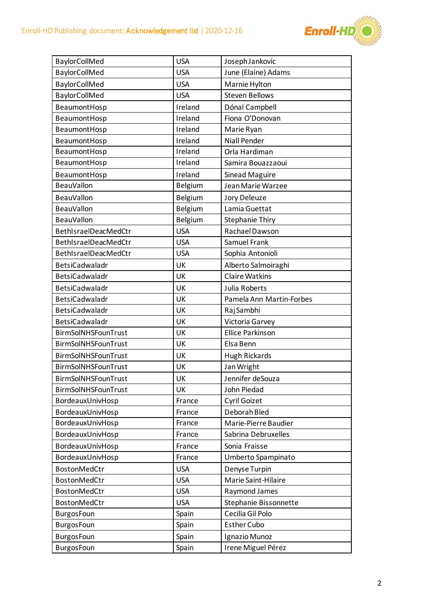

| BaylorCollMed         | <b>USA</b>     | Joseph Jankovic          |
|-----------------------|----------------|--------------------------|
| BaylorCollMed         | <b>USA</b>     | June (Elaine) Adams      |
| BaylorCollMed         | <b>USA</b>     | Marnie Hylton            |
| BaylorCollMed         | <b>USA</b>     | <b>Steven Bellows</b>    |
| BeaumontHosp          | Ireland        | Dónal Campbell           |
| BeaumontHosp          | Ireland        | Fiona O'Donovan          |
| BeaumontHosp          | Ireland        | Marie Ryan               |
| BeaumontHosp          | Ireland        | <b>Niall Pender</b>      |
| BeaumontHosp          | Ireland        | Orla Hardiman            |
| BeaumontHosp          | Ireland        | Samira Bouazzaoui        |
| BeaumontHosp          | Ireland        | <b>Sinead Maguire</b>    |
| <b>BeauVallon</b>     | <b>Belgium</b> | Jean Marie Warzee        |
| <b>BeauVallon</b>     | <b>Belgium</b> | Jory Deleuze             |
| <b>BeauVallon</b>     | Belgium        | Lamia Guettat            |
| <b>BeauVallon</b>     | <b>Belgium</b> | <b>Stephanie Thiry</b>   |
| BethIsraelDeacMedCtr  | <b>USA</b>     | Rachael Dawson           |
| BethIsraelDeacMedCtr  | <b>USA</b>     | Samuel Frank             |
| BethIsraelDeacMedCtr  | <b>USA</b>     | Sophia Antonioli         |
| BetsiCadwaladr        | UK             | Alberto Salmoiraghi      |
| BetsiCadwaladr        | UK             | <b>Claire Watkins</b>    |
| BetsiCadwaladr        | UK             | Julia Roberts            |
| BetsiCadwaladr        | UK             | Pamela Ann Martin-Forbes |
| BetsiCadwaladr        | UK             | Raj Sambhi               |
| <b>BetsiCadwaladr</b> | UK             | Victoria Garvey          |
| BirmSolNHSFounTrust   | UK             | <b>Ellice Parkinson</b>  |
| BirmSolNHSFounTrust   | UK             | Elsa Benn                |
| BirmSolNHSFounTrust   | UK             | <b>Hugh Rickards</b>     |
| BirmSolNHSFounTrust   | UK             | Jan Wright               |
| BirmSolNHSFounTrust   | UK             | Jennifer deSouza         |
| BirmSolNHSFounTrust   | UK             | John Piedad              |
| BordeauxUnivHosp      | France         | Cyril Goizet             |
| BordeauxUnivHosp      | France         | Deborah Bled             |
| BordeauxUnivHosp      | France         | Marie-Pierre Baudier     |
| BordeauxUnivHosp      | France         | Sabrina Debruxelles      |
| BordeauxUnivHosp      | France         | Sonia Fraisse            |
| BordeauxUnivHosp      | France         | Umberto Spampinato       |
| BostonMedCtr          | <b>USA</b>     | Denyse Turpin            |
| <b>BostonMedCtr</b>   | <b>USA</b>     | Marie Saint-Hilaire      |
| BostonMedCtr          | <b>USA</b>     | Raymond James            |
| <b>BostonMedCtr</b>   | <b>USA</b>     | Stephanie Bissonnette    |
| <b>BurgosFoun</b>     | Spain          | Cecilia Gil Polo         |
| <b>BurgosFoun</b>     | Spain          | <b>Esther Cubo</b>       |
| <b>BurgosFoun</b>     | Spain          | Ignazio Munoz            |
| <b>BurgosFoun</b>     | Spain          | Irene Miguel Pérez       |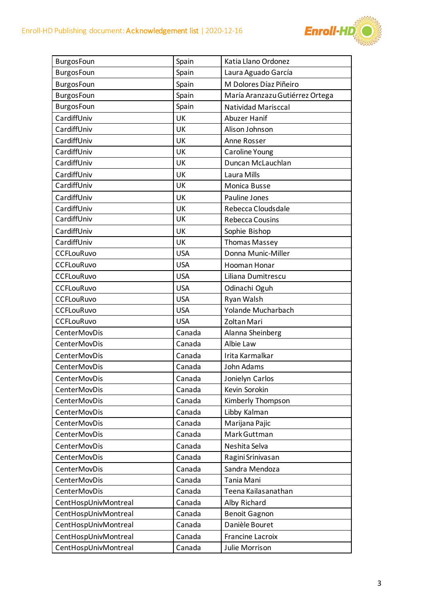

| <b>BurgosFoun</b>    | Spain      | Katia Llano Ordonez             |
|----------------------|------------|---------------------------------|
| <b>BurgosFoun</b>    | Spain      | Laura Aguado García             |
| BurgosFoun           | Spain      | M Dolores Díaz Piñeiro          |
| <b>BurgosFoun</b>    | Spain      | María Aranzazu Gutiérrez Ortega |
| <b>BurgosFoun</b>    | Spain      | <b>Natividad Marisccal</b>      |
| CardiffUniv          | UK         | Abuzer Hanif                    |
| CardiffUniv          | UK         | Alison Johnson                  |
| CardiffUniv          | UK         | Anne Rosser                     |
| CardiffUniv          | UK         | Caroline Young                  |
| CardiffUniv          | UK         | Duncan McLauchlan               |
| CardiffUniv          | UK         | Laura Mills                     |
| CardiffUniv          | UK         | Monica Busse                    |
| CardiffUniv          | UK         | Pauline Jones                   |
| CardiffUniv          | UK         | Rebecca Cloudsdale              |
| CardiffUniv          | UK         | <b>Rebecca Cousins</b>          |
| CardiffUniv          | UK         | Sophie Bishop                   |
| CardiffUniv          | UK         | <b>Thomas Massey</b>            |
| <b>CCFLouRuvo</b>    | <b>USA</b> | Donna Munic-Miller              |
| <b>CCFLouRuvo</b>    | <b>USA</b> | Hooman Honar                    |
| <b>CCFLouRuvo</b>    | <b>USA</b> | Liliana Dumitrescu              |
| <b>CCFLouRuvo</b>    | <b>USA</b> | Odinachi Oguh                   |
| <b>CCFLouRuvo</b>    | <b>USA</b> | Ryan Walsh                      |
| <b>CCFLouRuvo</b>    | <b>USA</b> | Yolande Mucharbach              |
| <b>CCFLouRuvo</b>    | <b>USA</b> | Zoltan Mari                     |
| <b>CenterMovDis</b>  | Canada     | Alanna Sheinberg                |
| <b>CenterMovDis</b>  | Canada     | Albie Law                       |
| <b>CenterMovDis</b>  | Canada     | Irita Karmalkar                 |
| CenterMovDis         | Canada     | John Adams                      |
| CenterMovDis         | Canada     | Jonielyn Carlos                 |
| CenterMovDis         | Canada     | Kevin Sorokin                   |
| <b>CenterMovDis</b>  | Canada     | Kimberly Thompson               |
| <b>CenterMovDis</b>  | Canada     | Libby Kalman                    |
| <b>CenterMovDis</b>  | Canada     | Marijana Pajic                  |
| <b>CenterMovDis</b>  | Canada     | Mark Guttman                    |
| <b>CenterMovDis</b>  | Canada     | Neshita Selva                   |
| <b>CenterMovDis</b>  | Canada     | Ragini Srinivasan               |
| <b>CenterMovDis</b>  | Canada     | Sandra Mendoza                  |
| <b>CenterMovDis</b>  | Canada     | Tania Mani                      |
| CenterMovDis         | Canada     | Teena Kailasanathan             |
| CentHospUnivMontreal | Canada     | Alby Richard                    |
| CentHospUnivMontreal | Canada     | <b>Benoit Gagnon</b>            |
| CentHospUnivMontreal | Canada     | Danièle Bouret                  |
| CentHospUnivMontreal | Canada     | Francine Lacroix                |
| CentHospUnivMontreal | Canada     | Julie Morrison                  |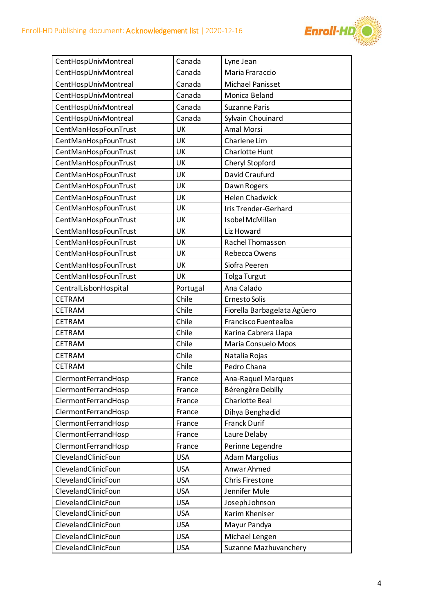

| CentHospUnivMontreal<br>Canada<br>Lyne Jean<br>CentHospUnivMontreal<br>Canada<br>Maria Fraraccio<br>CentHospUnivMontreal<br>Canada<br><b>Michael Panisset</b><br>CentHospUnivMontreal<br>Canada<br>Monica Beland<br>CentHospUnivMontreal<br>Canada<br><b>Suzanne Paris</b><br>CentHospUnivMontreal<br>Canada<br>Sylvain Chouinard<br>CentManHospFounTrust<br>UK<br>Amal Morsi<br>CentManHospFounTrust<br>UK<br>Charlene Lim<br>CentManHospFounTrust<br>Charlotte Hunt<br>UK<br>CentManHospFounTrust<br>UK<br>Cheryl Stopford<br>CentManHospFounTrust<br>David Craufurd<br>UK<br>CentManHospFounTrust<br>UK<br>Dawn Rogers<br><b>Helen Chadwick</b><br>CentManHospFounTrust<br>UK<br>CentManHospFounTrust<br>UK<br><b>Iris Trender-Gerhard</b><br>CentManHospFounTrust<br>UK<br>Isobel McMillan<br>CentManHospFounTrust<br>UK<br>Liz Howard<br>CentManHospFounTrust<br>UK<br>Rachel Thomasson<br>CentManHospFounTrust<br>Rebecca Owens<br>UK<br>CentManHospFounTrust<br>UK<br>Siofra Peeren<br>CentManHospFounTrust<br>UK<br><b>Tolga Turgut</b><br>Portugal<br>Ana Calado<br>CentralLisbonHospital<br>Chile<br><b>CETRAM</b><br>Ernesto Solis<br>Chile<br>CETRAM<br>Fiorella Barbagelata Agüero<br>Chile<br><b>CETRAM</b><br>Francisco Fuentealba<br>Chile<br>Karina Cabrera Llapa<br>CETRAM<br>Chile<br>CETRAM<br>Maria Consuelo Moos<br>Chile<br>CETRAM<br>Natalia Rojas<br>CETRAM<br>Chile<br>Pedro Chana<br>ClermontFerrandHosp<br><b>Ana-Raquel Marques</b><br>France<br>ClermontFerrandHosp<br>Bérengère Debilly<br>France<br><b>Charlotte Beal</b><br>ClermontFerrandHosp<br>France<br>ClermontFerrandHosp<br>France<br>Dihya Benghadid<br><b>Franck Durif</b><br>ClermontFerrandHosp<br>France<br>ClermontFerrandHosp<br>Laure Delaby<br>France<br>ClermontFerrandHosp<br>France<br>Perinne Legendre<br>ClevelandClinicFoun<br><b>Adam Margolius</b><br><b>USA</b><br>Anwar Ahmed<br>ClevelandClinicFoun<br><b>USA</b><br>ClevelandClinicFoun<br><b>USA</b><br><b>Chris Firestone</b><br>Jennifer Mule<br>ClevelandClinicFoun<br><b>USA</b><br>ClevelandClinicFoun<br>Joseph Johnson<br><b>USA</b><br>ClevelandClinicFoun<br><b>USA</b><br>Karim Kheniser<br>ClevelandClinicFoun<br>Mayur Pandya<br><b>USA</b><br>ClevelandClinicFoun<br><b>USA</b><br>Michael Lengen |  |  |
|-------------------------------------------------------------------------------------------------------------------------------------------------------------------------------------------------------------------------------------------------------------------------------------------------------------------------------------------------------------------------------------------------------------------------------------------------------------------------------------------------------------------------------------------------------------------------------------------------------------------------------------------------------------------------------------------------------------------------------------------------------------------------------------------------------------------------------------------------------------------------------------------------------------------------------------------------------------------------------------------------------------------------------------------------------------------------------------------------------------------------------------------------------------------------------------------------------------------------------------------------------------------------------------------------------------------------------------------------------------------------------------------------------------------------------------------------------------------------------------------------------------------------------------------------------------------------------------------------------------------------------------------------------------------------------------------------------------------------------------------------------------------------------------------------------------------------------------------------------------------------------------------------------------------------------------------------------------------------------------------------------------------------------------------------------------------------------------------------------------------------------------------------------------------------------------------------------------------------------------------------------------------------------|--|--|
|                                                                                                                                                                                                                                                                                                                                                                                                                                                                                                                                                                                                                                                                                                                                                                                                                                                                                                                                                                                                                                                                                                                                                                                                                                                                                                                                                                                                                                                                                                                                                                                                                                                                                                                                                                                                                                                                                                                                                                                                                                                                                                                                                                                                                                                                               |  |  |
|                                                                                                                                                                                                                                                                                                                                                                                                                                                                                                                                                                                                                                                                                                                                                                                                                                                                                                                                                                                                                                                                                                                                                                                                                                                                                                                                                                                                                                                                                                                                                                                                                                                                                                                                                                                                                                                                                                                                                                                                                                                                                                                                                                                                                                                                               |  |  |
|                                                                                                                                                                                                                                                                                                                                                                                                                                                                                                                                                                                                                                                                                                                                                                                                                                                                                                                                                                                                                                                                                                                                                                                                                                                                                                                                                                                                                                                                                                                                                                                                                                                                                                                                                                                                                                                                                                                                                                                                                                                                                                                                                                                                                                                                               |  |  |
|                                                                                                                                                                                                                                                                                                                                                                                                                                                                                                                                                                                                                                                                                                                                                                                                                                                                                                                                                                                                                                                                                                                                                                                                                                                                                                                                                                                                                                                                                                                                                                                                                                                                                                                                                                                                                                                                                                                                                                                                                                                                                                                                                                                                                                                                               |  |  |
|                                                                                                                                                                                                                                                                                                                                                                                                                                                                                                                                                                                                                                                                                                                                                                                                                                                                                                                                                                                                                                                                                                                                                                                                                                                                                                                                                                                                                                                                                                                                                                                                                                                                                                                                                                                                                                                                                                                                                                                                                                                                                                                                                                                                                                                                               |  |  |
|                                                                                                                                                                                                                                                                                                                                                                                                                                                                                                                                                                                                                                                                                                                                                                                                                                                                                                                                                                                                                                                                                                                                                                                                                                                                                                                                                                                                                                                                                                                                                                                                                                                                                                                                                                                                                                                                                                                                                                                                                                                                                                                                                                                                                                                                               |  |  |
|                                                                                                                                                                                                                                                                                                                                                                                                                                                                                                                                                                                                                                                                                                                                                                                                                                                                                                                                                                                                                                                                                                                                                                                                                                                                                                                                                                                                                                                                                                                                                                                                                                                                                                                                                                                                                                                                                                                                                                                                                                                                                                                                                                                                                                                                               |  |  |
|                                                                                                                                                                                                                                                                                                                                                                                                                                                                                                                                                                                                                                                                                                                                                                                                                                                                                                                                                                                                                                                                                                                                                                                                                                                                                                                                                                                                                                                                                                                                                                                                                                                                                                                                                                                                                                                                                                                                                                                                                                                                                                                                                                                                                                                                               |  |  |
|                                                                                                                                                                                                                                                                                                                                                                                                                                                                                                                                                                                                                                                                                                                                                                                                                                                                                                                                                                                                                                                                                                                                                                                                                                                                                                                                                                                                                                                                                                                                                                                                                                                                                                                                                                                                                                                                                                                                                                                                                                                                                                                                                                                                                                                                               |  |  |
|                                                                                                                                                                                                                                                                                                                                                                                                                                                                                                                                                                                                                                                                                                                                                                                                                                                                                                                                                                                                                                                                                                                                                                                                                                                                                                                                                                                                                                                                                                                                                                                                                                                                                                                                                                                                                                                                                                                                                                                                                                                                                                                                                                                                                                                                               |  |  |
|                                                                                                                                                                                                                                                                                                                                                                                                                                                                                                                                                                                                                                                                                                                                                                                                                                                                                                                                                                                                                                                                                                                                                                                                                                                                                                                                                                                                                                                                                                                                                                                                                                                                                                                                                                                                                                                                                                                                                                                                                                                                                                                                                                                                                                                                               |  |  |
|                                                                                                                                                                                                                                                                                                                                                                                                                                                                                                                                                                                                                                                                                                                                                                                                                                                                                                                                                                                                                                                                                                                                                                                                                                                                                                                                                                                                                                                                                                                                                                                                                                                                                                                                                                                                                                                                                                                                                                                                                                                                                                                                                                                                                                                                               |  |  |
|                                                                                                                                                                                                                                                                                                                                                                                                                                                                                                                                                                                                                                                                                                                                                                                                                                                                                                                                                                                                                                                                                                                                                                                                                                                                                                                                                                                                                                                                                                                                                                                                                                                                                                                                                                                                                                                                                                                                                                                                                                                                                                                                                                                                                                                                               |  |  |
|                                                                                                                                                                                                                                                                                                                                                                                                                                                                                                                                                                                                                                                                                                                                                                                                                                                                                                                                                                                                                                                                                                                                                                                                                                                                                                                                                                                                                                                                                                                                                                                                                                                                                                                                                                                                                                                                                                                                                                                                                                                                                                                                                                                                                                                                               |  |  |
|                                                                                                                                                                                                                                                                                                                                                                                                                                                                                                                                                                                                                                                                                                                                                                                                                                                                                                                                                                                                                                                                                                                                                                                                                                                                                                                                                                                                                                                                                                                                                                                                                                                                                                                                                                                                                                                                                                                                                                                                                                                                                                                                                                                                                                                                               |  |  |
|                                                                                                                                                                                                                                                                                                                                                                                                                                                                                                                                                                                                                                                                                                                                                                                                                                                                                                                                                                                                                                                                                                                                                                                                                                                                                                                                                                                                                                                                                                                                                                                                                                                                                                                                                                                                                                                                                                                                                                                                                                                                                                                                                                                                                                                                               |  |  |
|                                                                                                                                                                                                                                                                                                                                                                                                                                                                                                                                                                                                                                                                                                                                                                                                                                                                                                                                                                                                                                                                                                                                                                                                                                                                                                                                                                                                                                                                                                                                                                                                                                                                                                                                                                                                                                                                                                                                                                                                                                                                                                                                                                                                                                                                               |  |  |
|                                                                                                                                                                                                                                                                                                                                                                                                                                                                                                                                                                                                                                                                                                                                                                                                                                                                                                                                                                                                                                                                                                                                                                                                                                                                                                                                                                                                                                                                                                                                                                                                                                                                                                                                                                                                                                                                                                                                                                                                                                                                                                                                                                                                                                                                               |  |  |
|                                                                                                                                                                                                                                                                                                                                                                                                                                                                                                                                                                                                                                                                                                                                                                                                                                                                                                                                                                                                                                                                                                                                                                                                                                                                                                                                                                                                                                                                                                                                                                                                                                                                                                                                                                                                                                                                                                                                                                                                                                                                                                                                                                                                                                                                               |  |  |
|                                                                                                                                                                                                                                                                                                                                                                                                                                                                                                                                                                                                                                                                                                                                                                                                                                                                                                                                                                                                                                                                                                                                                                                                                                                                                                                                                                                                                                                                                                                                                                                                                                                                                                                                                                                                                                                                                                                                                                                                                                                                                                                                                                                                                                                                               |  |  |
|                                                                                                                                                                                                                                                                                                                                                                                                                                                                                                                                                                                                                                                                                                                                                                                                                                                                                                                                                                                                                                                                                                                                                                                                                                                                                                                                                                                                                                                                                                                                                                                                                                                                                                                                                                                                                                                                                                                                                                                                                                                                                                                                                                                                                                                                               |  |  |
|                                                                                                                                                                                                                                                                                                                                                                                                                                                                                                                                                                                                                                                                                                                                                                                                                                                                                                                                                                                                                                                                                                                                                                                                                                                                                                                                                                                                                                                                                                                                                                                                                                                                                                                                                                                                                                                                                                                                                                                                                                                                                                                                                                                                                                                                               |  |  |
|                                                                                                                                                                                                                                                                                                                                                                                                                                                                                                                                                                                                                                                                                                                                                                                                                                                                                                                                                                                                                                                                                                                                                                                                                                                                                                                                                                                                                                                                                                                                                                                                                                                                                                                                                                                                                                                                                                                                                                                                                                                                                                                                                                                                                                                                               |  |  |
|                                                                                                                                                                                                                                                                                                                                                                                                                                                                                                                                                                                                                                                                                                                                                                                                                                                                                                                                                                                                                                                                                                                                                                                                                                                                                                                                                                                                                                                                                                                                                                                                                                                                                                                                                                                                                                                                                                                                                                                                                                                                                                                                                                                                                                                                               |  |  |
|                                                                                                                                                                                                                                                                                                                                                                                                                                                                                                                                                                                                                                                                                                                                                                                                                                                                                                                                                                                                                                                                                                                                                                                                                                                                                                                                                                                                                                                                                                                                                                                                                                                                                                                                                                                                                                                                                                                                                                                                                                                                                                                                                                                                                                                                               |  |  |
|                                                                                                                                                                                                                                                                                                                                                                                                                                                                                                                                                                                                                                                                                                                                                                                                                                                                                                                                                                                                                                                                                                                                                                                                                                                                                                                                                                                                                                                                                                                                                                                                                                                                                                                                                                                                                                                                                                                                                                                                                                                                                                                                                                                                                                                                               |  |  |
|                                                                                                                                                                                                                                                                                                                                                                                                                                                                                                                                                                                                                                                                                                                                                                                                                                                                                                                                                                                                                                                                                                                                                                                                                                                                                                                                                                                                                                                                                                                                                                                                                                                                                                                                                                                                                                                                                                                                                                                                                                                                                                                                                                                                                                                                               |  |  |
|                                                                                                                                                                                                                                                                                                                                                                                                                                                                                                                                                                                                                                                                                                                                                                                                                                                                                                                                                                                                                                                                                                                                                                                                                                                                                                                                                                                                                                                                                                                                                                                                                                                                                                                                                                                                                                                                                                                                                                                                                                                                                                                                                                                                                                                                               |  |  |
|                                                                                                                                                                                                                                                                                                                                                                                                                                                                                                                                                                                                                                                                                                                                                                                                                                                                                                                                                                                                                                                                                                                                                                                                                                                                                                                                                                                                                                                                                                                                                                                                                                                                                                                                                                                                                                                                                                                                                                                                                                                                                                                                                                                                                                                                               |  |  |
|                                                                                                                                                                                                                                                                                                                                                                                                                                                                                                                                                                                                                                                                                                                                                                                                                                                                                                                                                                                                                                                                                                                                                                                                                                                                                                                                                                                                                                                                                                                                                                                                                                                                                                                                                                                                                                                                                                                                                                                                                                                                                                                                                                                                                                                                               |  |  |
|                                                                                                                                                                                                                                                                                                                                                                                                                                                                                                                                                                                                                                                                                                                                                                                                                                                                                                                                                                                                                                                                                                                                                                                                                                                                                                                                                                                                                                                                                                                                                                                                                                                                                                                                                                                                                                                                                                                                                                                                                                                                                                                                                                                                                                                                               |  |  |
|                                                                                                                                                                                                                                                                                                                                                                                                                                                                                                                                                                                                                                                                                                                                                                                                                                                                                                                                                                                                                                                                                                                                                                                                                                                                                                                                                                                                                                                                                                                                                                                                                                                                                                                                                                                                                                                                                                                                                                                                                                                                                                                                                                                                                                                                               |  |  |
|                                                                                                                                                                                                                                                                                                                                                                                                                                                                                                                                                                                                                                                                                                                                                                                                                                                                                                                                                                                                                                                                                                                                                                                                                                                                                                                                                                                                                                                                                                                                                                                                                                                                                                                                                                                                                                                                                                                                                                                                                                                                                                                                                                                                                                                                               |  |  |
|                                                                                                                                                                                                                                                                                                                                                                                                                                                                                                                                                                                                                                                                                                                                                                                                                                                                                                                                                                                                                                                                                                                                                                                                                                                                                                                                                                                                                                                                                                                                                                                                                                                                                                                                                                                                                                                                                                                                                                                                                                                                                                                                                                                                                                                                               |  |  |
|                                                                                                                                                                                                                                                                                                                                                                                                                                                                                                                                                                                                                                                                                                                                                                                                                                                                                                                                                                                                                                                                                                                                                                                                                                                                                                                                                                                                                                                                                                                                                                                                                                                                                                                                                                                                                                                                                                                                                                                                                                                                                                                                                                                                                                                                               |  |  |
|                                                                                                                                                                                                                                                                                                                                                                                                                                                                                                                                                                                                                                                                                                                                                                                                                                                                                                                                                                                                                                                                                                                                                                                                                                                                                                                                                                                                                                                                                                                                                                                                                                                                                                                                                                                                                                                                                                                                                                                                                                                                                                                                                                                                                                                                               |  |  |
|                                                                                                                                                                                                                                                                                                                                                                                                                                                                                                                                                                                                                                                                                                                                                                                                                                                                                                                                                                                                                                                                                                                                                                                                                                                                                                                                                                                                                                                                                                                                                                                                                                                                                                                                                                                                                                                                                                                                                                                                                                                                                                                                                                                                                                                                               |  |  |
|                                                                                                                                                                                                                                                                                                                                                                                                                                                                                                                                                                                                                                                                                                                                                                                                                                                                                                                                                                                                                                                                                                                                                                                                                                                                                                                                                                                                                                                                                                                                                                                                                                                                                                                                                                                                                                                                                                                                                                                                                                                                                                                                                                                                                                                                               |  |  |
|                                                                                                                                                                                                                                                                                                                                                                                                                                                                                                                                                                                                                                                                                                                                                                                                                                                                                                                                                                                                                                                                                                                                                                                                                                                                                                                                                                                                                                                                                                                                                                                                                                                                                                                                                                                                                                                                                                                                                                                                                                                                                                                                                                                                                                                                               |  |  |
|                                                                                                                                                                                                                                                                                                                                                                                                                                                                                                                                                                                                                                                                                                                                                                                                                                                                                                                                                                                                                                                                                                                                                                                                                                                                                                                                                                                                                                                                                                                                                                                                                                                                                                                                                                                                                                                                                                                                                                                                                                                                                                                                                                                                                                                                               |  |  |
|                                                                                                                                                                                                                                                                                                                                                                                                                                                                                                                                                                                                                                                                                                                                                                                                                                                                                                                                                                                                                                                                                                                                                                                                                                                                                                                                                                                                                                                                                                                                                                                                                                                                                                                                                                                                                                                                                                                                                                                                                                                                                                                                                                                                                                                                               |  |  |
|                                                                                                                                                                                                                                                                                                                                                                                                                                                                                                                                                                                                                                                                                                                                                                                                                                                                                                                                                                                                                                                                                                                                                                                                                                                                                                                                                                                                                                                                                                                                                                                                                                                                                                                                                                                                                                                                                                                                                                                                                                                                                                                                                                                                                                                                               |  |  |
|                                                                                                                                                                                                                                                                                                                                                                                                                                                                                                                                                                                                                                                                                                                                                                                                                                                                                                                                                                                                                                                                                                                                                                                                                                                                                                                                                                                                                                                                                                                                                                                                                                                                                                                                                                                                                                                                                                                                                                                                                                                                                                                                                                                                                                                                               |  |  |
| ClevelandClinicFoun<br><b>USA</b><br>Suzanne Mazhuvanchery                                                                                                                                                                                                                                                                                                                                                                                                                                                                                                                                                                                                                                                                                                                                                                                                                                                                                                                                                                                                                                                                                                                                                                                                                                                                                                                                                                                                                                                                                                                                                                                                                                                                                                                                                                                                                                                                                                                                                                                                                                                                                                                                                                                                                    |  |  |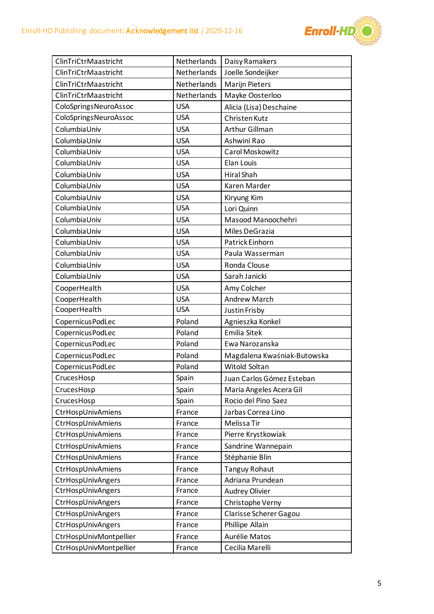

| ClinTriCtrMaastricht   | Netherlands | Daisy Ramakers              |
|------------------------|-------------|-----------------------------|
| ClinTriCtrMaastricht   | Netherlands | Joelle Sondeijker           |
| ClinTriCtrMaastricht   | Netherlands | <b>Marijn Pieters</b>       |
| ClinTriCtrMaastricht   | Netherlands | Mayke Oosterloo             |
| ColoSpringsNeuroAssoc  | <b>USA</b>  | Alicia (Lisa) Deschaine     |
| ColoSpringsNeuroAssoc  | <b>USA</b>  | Christen Kutz               |
| ColumbiaUniv           | <b>USA</b>  | Arthur Gillman              |
| ColumbiaUniv           | <b>USA</b>  | Ashwini Rao                 |
| ColumbiaUniv           | <b>USA</b>  | Carol Moskowitz             |
| ColumbiaUniv           | <b>USA</b>  | Elan Louis                  |
| ColumbiaUniv           | <b>USA</b>  | Hiral Shah                  |
| ColumbiaUniv           | <b>USA</b>  | Karen Marder                |
| ColumbiaUniv           | <b>USA</b>  | Kiryung Kim                 |
| ColumbiaUniv           | <b>USA</b>  | Lori Quinn                  |
| ColumbiaUniv           | <b>USA</b>  | Masood Manoochehri          |
| ColumbiaUniv           | <b>USA</b>  | Miles DeGrazia              |
| ColumbiaUniv           | <b>USA</b>  | Patrick Einhorn             |
| ColumbiaUniv           | <b>USA</b>  | Paula Wasserman             |
| ColumbiaUniv           | <b>USA</b>  | Ronda Clouse                |
| ColumbiaUniv           | <b>USA</b>  | Sarah Janicki               |
| CooperHealth           | <b>USA</b>  | Amy Colcher                 |
| CooperHealth           | <b>USA</b>  | <b>Andrew March</b>         |
| CooperHealth           | <b>USA</b>  | Justin Frisby               |
| Copernicus PodLec      | Poland      | Agnieszka Konkel            |
| Copernicus PodLec      | Poland      | <b>Emilia Sitek</b>         |
| Copernicus PodLec      | Poland      | Ewa Narozanska              |
| Copernicus PodLec      | Poland      | Magdalena Kwaśniak-Butowska |
| Copernicus PodLec      | Poland      | Witold Soltan               |
| CrucesHosp             | Spain       | Juan Carlos Gómez Esteban   |
| CrucesHosp             | Spain       | Maria Angeles Acera Gil     |
| CrucesHosp             | Spain       | Rocio del Pino Saez         |
| CtrHospUnivAmiens      | France      | Jarbas Correa Lino          |
| CtrHospUnivAmiens      | France      | Melissa Tir                 |
| CtrHospUnivAmiens      | France      | Pierre Krystkowiak          |
| CtrHospUnivAmiens      | France      | Sandrine Wannepain          |
| CtrHospUnivAmiens      | France      | Stéphanie Blin              |
| CtrHospUnivAmiens      | France      | <b>Tanguy Rohaut</b>        |
| CtrHospUnivAngers      | France      | Adriana Prundean            |
| CtrHospUnivAngers      | France      | Audrey Olivier              |
| CtrHospUnivAngers      | France      | Christophe Verny            |
| CtrHospUnivAngers      | France      | Clarisse Scherer Gagou      |
| CtrHospUnivAngers      | France      | Phillipe Allain             |
| CtrHospUnivMontpellier | France      | Aurélie Matos               |
| CtrHospUnivMontpellier | France      | Cecilia Marelli             |
|                        |             |                             |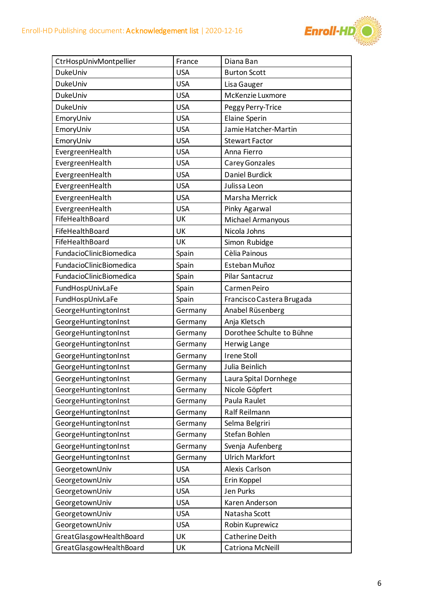

| CtrHospUnivMontpellier  | France     | Diana Ban                 |
|-------------------------|------------|---------------------------|
| DukeUniv                | <b>USA</b> | <b>Burton Scott</b>       |
| DukeUniv                | <b>USA</b> | Lisa Gauger               |
| DukeUniv                | <b>USA</b> | McKenzie Luxmore          |
| DukeUniv                | <b>USA</b> | Peggy Perry-Trice         |
| EmoryUniv               | <b>USA</b> | <b>Elaine Sperin</b>      |
| EmoryUniv               | <b>USA</b> | Jamie Hatcher-Martin      |
| EmoryUniv               | <b>USA</b> | <b>Stewart Factor</b>     |
| EvergreenHealth         | <b>USA</b> | Anna Fierro               |
| EvergreenHealth         | <b>USA</b> | Carey Gonzales            |
| EvergreenHealth         | <b>USA</b> | Daniel Burdick            |
| EvergreenHealth         | <b>USA</b> | Julissa Leon              |
| EvergreenHealth         | <b>USA</b> | Marsha Merrick            |
| EvergreenHealth         | <b>USA</b> | Pinky Agarwal             |
| FifeHealthBoard         | UK         | Michael Armanyous         |
| FifeHealthBoard         | UK         | Nicola Johns              |
| FifeHealthBoard         | UK         | Simon Rubidge             |
| FundacioClinicBiomedica | Spain      | Cèlia Painous             |
| FundacioClinicBiomedica | Spain      | Esteban Muñoz             |
| FundacioClinicBiomedica | Spain      | Pilar Santacruz           |
| FundHospUnivLaFe        | Spain      | Carmen Peiro              |
| FundHospUnivLaFe        | Spain      | Francisco Castera Brugada |
| GeorgeHuntingtonInst    | Germany    | Anabel Rüsenberg          |
| GeorgeHuntingtonInst    | Germany    | Anja Kletsch              |
| GeorgeHuntingtonInst    | Germany    | Dorothee Schulte to Bühne |
| GeorgeHuntingtonInst    | Germany    | Herwig Lange              |
| GeorgeHuntingtonInst    | Germany    | <b>Irene Stoll</b>        |
| GeorgeHuntingtonInst    | Germany    | Julia Beinlich            |
| GeorgeHuntingtonInst    | Germany    | Laura Spital Dornhege     |
| GeorgeHuntingtonInst    | Germany    | Nicole Göpfert            |
| GeorgeHuntingtonInst    | Germany    | Paula Raulet              |
| GeorgeHuntingtonInst    | Germany    | Ralf Reilmann             |
| GeorgeHuntingtonInst    | Germany    | Selma Belgriri            |
| GeorgeHuntingtonInst    | Germany    | Stefan Bohlen             |
| GeorgeHuntingtonInst    | Germany    | Svenja Aufenberg          |
| GeorgeHuntingtonInst    | Germany    | <b>Ulrich Markfort</b>    |
| GeorgetownUniv          | <b>USA</b> | Alexis Carlson            |
| GeorgetownUniv          | <b>USA</b> | Erin Koppel               |
| GeorgetownUniv          | <b>USA</b> | Jen Purks                 |
| GeorgetownUniv          | <b>USA</b> | Karen Anderson            |
| GeorgetownUniv          | <b>USA</b> | Natasha Scott             |
| GeorgetownUniv          | <b>USA</b> | Robin Kuprewicz           |
| GreatGlasgowHealthBoard | UK         | Catherine Deith           |
| GreatGlasgowHealthBoard | UK         | Catriona McNeill          |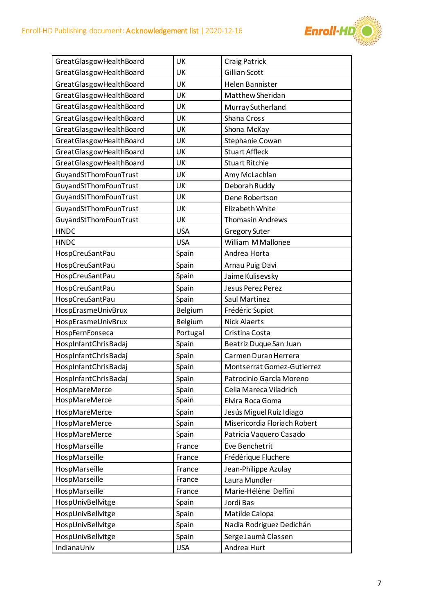

| GreatGlasgowHealthBoard | UK             | Craig Patrick                |
|-------------------------|----------------|------------------------------|
| GreatGlasgowHealthBoard | UK             | Gillian Scott                |
| GreatGlasgowHealthBoard | UK             | <b>Helen Bannister</b>       |
| GreatGlasgowHealthBoard | UK             | Matthew Sheridan             |
| GreatGlasgowHealthBoard | UK             | Murray Sutherland            |
| GreatGlasgowHealthBoard | UK             | Shana Cross                  |
| GreatGlasgowHealthBoard | UK             | Shona McKay                  |
| GreatGlasgowHealthBoard | UK             | Stephanie Cowan              |
| GreatGlasgowHealthBoard | UK             | <b>Stuart Affleck</b>        |
| GreatGlasgowHealthBoard | UK             | <b>Stuart Ritchie</b>        |
| GuyandStThomFounTrust   | UK             | Amy McLachlan                |
| GuyandStThomFounTrust   | UK             | Deborah Ruddy                |
| GuyandStThomFounTrust   | UK             | Dene Robertson               |
| GuyandStThomFounTrust   | UK             | Elizabeth White              |
| GuyandStThomFounTrust   | UK             | <b>Thomasin Andrews</b>      |
| <b>HNDC</b>             | <b>USA</b>     | Gregory Suter                |
| <b>HNDC</b>             | <b>USA</b>     | William M Mallonee           |
| HospCreuSantPau         | Spain          | Andrea Horta                 |
| HospCreuSantPau         | Spain          | Arnau Puig Davi              |
| HospCreuSantPau         | Spain          | Jaime Kulisevsky             |
| HospCreuSantPau         | Spain          | Jesus Perez Perez            |
| HospCreuSantPau         | Spain          | Saul Martinez                |
| HospErasmeUnivBrux      | <b>Belgium</b> | Frédéric Supiot              |
| HospErasmeUnivBrux      | Belgium        | <b>Nick Alaerts</b>          |
| HospFernFonseca         | Portugal       | Cristina Costa               |
| HospInfantChrisBadaj    | Spain          | Beatriz Duque San Juan       |
| HospInfantChrisBadaj    | Spain          | Carmen Duran Herrera         |
| HospInfantChrisBadaj    | Spain          | Montserrat Gomez-Gutierrez   |
| HospInfantChrisBadaj    | Spain          | Patrocinio García Moreno     |
| HospMareMerce           | Spain          | Celia Mareca Viladrich       |
| HospMareMerce           | Spain          | Elvira Roca Goma             |
| HospMareMerce           | Spain          | Jesús Miguel Ruíz Idiago     |
| HospMareMerce           | Spain          | Misericordia Floriach Robert |
| HospMareMerce           | Spain          | Patricia Vaquero Casado      |
| HospMarseille           | France         | Eve Benchetrit               |
| HospMarseille           | France         | Frédérique Fluchere          |
| HospMarseille           | France         | Jean-Philippe Azulay         |
| HospMarseille           | France         | Laura Mundler                |
| HospMarseille           | France         | Marie-Hélène Delfini         |
| HospUnivBellvitge       | Spain          | Jordi Bas                    |
| HospUnivBellvitge       | Spain          | Matilde Calopa               |
| HospUnivBellvitge       | Spain          | Nadia Rodriguez Dedichán     |
| HospUnivBellvitge       | Spain          | Serge Jaumà Classen          |
| IndianaUniv             | <b>USA</b>     | Andrea Hurt                  |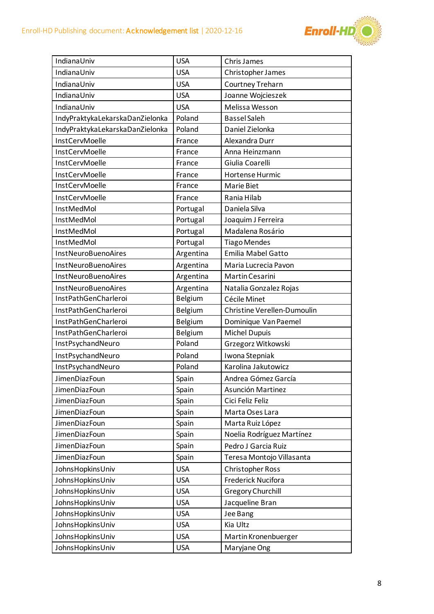

| IndianaUniv                     | <b>USA</b>     | <b>Chris James</b>          |
|---------------------------------|----------------|-----------------------------|
| IndianaUniv                     | <b>USA</b>     | Christopher James           |
| IndianaUniv                     | <b>USA</b>     | Courtney Treharn            |
| IndianaUniv                     | <b>USA</b>     | Joanne Wojcieszek           |
| IndianaUniv                     | <b>USA</b>     | Melissa Wesson              |
| IndyPraktykaLekarskaDanZielonka | Poland         | <b>Bassel Saleh</b>         |
| IndyPraktykaLekarskaDanZielonka | Poland         | Daniel Zielonka             |
| InstCervMoelle                  | France         | Alexandra Durr              |
| InstCervMoelle                  | France         | Anna Heinzmann              |
| InstCervMoelle                  | France         | Giulia Coarelli             |
| InstCervMoelle                  | France         | Hortense Hurmic             |
| InstCervMoelle                  | France         | Marie Biet                  |
| InstCervMoelle                  | France         | Rania Hilab                 |
| InstMedMol                      | Portugal       | Daniela Silva               |
| InstMedMol                      | Portugal       | Joaquim J Ferreira          |
| InstMedMol                      | Portugal       | Madalena Rosário            |
| InstMedMol                      | Portugal       | <b>Tiago Mendes</b>         |
| <b>InstNeuroBuenoAires</b>      | Argentina      | <b>Emilia Mabel Gatto</b>   |
| <b>InstNeuroBuenoAires</b>      | Argentina      | Maria Lucrecia Pavon        |
| <b>InstNeuroBuenoAires</b>      | Argentina      | Martin Cesarini             |
| <b>InstNeuroBuenoAires</b>      | Argentina      | Natalia Gonzalez Rojas      |
| InstPathGenCharleroi            | <b>Belgium</b> | Cécile Minet                |
| InstPathGenCharleroi            | Belgium        | Christine Verellen-Dumoulin |
| InstPathGenCharleroi            | <b>Belgium</b> | Dominique Van Paemel        |
| InstPathGenCharleroi            | <b>Belgium</b> | Michel Dupuis               |
| InstPsychandNeuro               | Poland         | Grzegorz Witkowski          |
| InstPsychandNeuro               | Poland         | Iwona Stepniak              |
| InstPsychandNeuro               | Poland         | Karolina Jakutowicz         |
| JimenDiazFoun                   | Spain          | Andrea Gómez García         |
| JimenDiazFoun                   | Spain          | Asunción Martinez           |
| JimenDiazFoun                   | Spain          | Cici Feliz Feliz            |
| JimenDiazFoun                   | Spain          | Marta Oses Lara             |
| JimenDiazFoun                   | Spain          | Marta Ruiz López            |
| JimenDiazFoun                   | Spain          | Noelia Rodríguez Martínez   |
| <b>JimenDiazFoun</b>            | Spain          | Pedro J Garcia Ruiz         |
| JimenDiazFoun                   | Spain          | Teresa Montojo Villasanta   |
| JohnsHopkinsUniv                | <b>USA</b>     | <b>Christopher Ross</b>     |
| Johns Hopkins Univ              | <b>USA</b>     | Frederick Nucifora          |
| JohnsHopkinsUniv                | <b>USA</b>     | Gregory Churchill           |
| Johns Hopkins Univ              | <b>USA</b>     | Jacqueline Bran             |
| Johns Hopkins Univ              | <b>USA</b>     | Jee Bang                    |
| Johns Hopkins Univ              | <b>USA</b>     | Kia Ultz                    |
| Johns Hopkins Univ              | <b>USA</b>     | Martin Kronenbuerger        |
| JohnsHopkinsUniv                | <b>USA</b>     | Maryjane Ong                |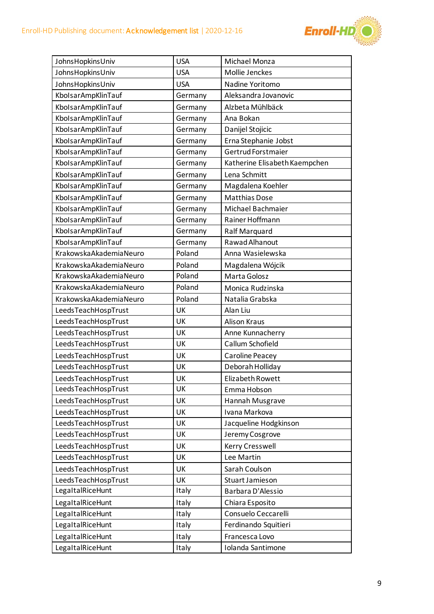

| <b>USA</b><br>Michael Monza<br>Johns Hopkins Univ<br>Mollie Jenckes<br>Johns Hopkins Univ<br><b>USA</b><br>JohnsHopkinsUniv<br><b>USA</b><br>Nadine Yoritomo<br>KbolsarAmpKlinTauf<br>Aleksandra Jovanovic<br>Germany<br>KbolsarAmpKlinTauf<br>Alzbeta Mühlbäck<br>Germany<br>KbolsarAmpKlinTauf<br>Ana Bokan<br>Germany<br>KbolsarAmpKlinTauf<br>Germany<br>Danijel Stojicic<br>KbolsarAmpKlinTauf<br>Erna Stephanie Jobst<br>Germany<br>Gertrud Forstmaier<br>KbolsarAmpKlinTauf<br>Germany<br>KbolsarAmpKlinTauf<br>Katherine Elisabeth Kaempchen<br>Germany<br>KbolsarAmpKlinTauf<br>Germany<br>Lena Schmitt<br>KbolsarAmpKlinTauf<br>Magdalena Koehler<br>Germany<br>KbolsarAmpKlinTauf<br><b>Matthias Dose</b><br>Germany<br>KbolsarAmpKlinTauf<br>Germany<br>Michael Bachmaier<br>KbolsarAmpKlinTauf<br>Rainer Hoffmann<br>Germany<br>KbolsarAmpKlinTauf<br>Germany<br><b>Ralf Marquard</b><br>Rawad Alhanout<br>KbolsarAmpKlinTauf<br>Germany<br>KrakowskaAkademiaNeuro<br>Poland<br>Anna Wasielewska<br>KrakowskaAkademiaNeuro<br>Poland<br>Magdalena Wójcik<br>KrakowskaAkademiaNeuro<br>Poland<br>Marta Golosz<br>KrakowskaAkademiaNeuro<br>Poland<br>Monica Rudzinska<br>Poland<br>KrakowskaAkademiaNeuro<br>Natalia Grabska<br>UK<br>Alan Liu<br>LeedsTeachHospTrust<br>LeedsTeachHospTrust<br>UK<br><b>Alison Kraus</b><br>LeedsTeachHospTrust<br>UK<br>Anne Kunnacherry<br>Callum Schofield<br>LeedsTeachHospTrust<br>UK<br>LeedsTeachHospTrust<br>UK<br>Caroline Peacey<br>LeedsTeachHospTrust<br>Deborah Holliday<br>UK<br>LeedsTeachHospTrust<br>Elizabeth Rowett<br>UK<br>UK<br>LeedsTeachHospTrust<br>Emma Hobson<br>LeedsTeachHospTrust<br>UK<br>Hannah Musgrave<br>LeedsTeachHospTrust<br>UK<br>Ivana Markova<br>LeedsTeachHospTrust<br>UK<br>Jacqueline Hodgkinson<br>LeedsTeachHospTrust<br>UK<br>Jeremy Cosgrove<br>LeedsTeachHospTrust<br>Kerry Cresswell<br>UK<br>LeedsTeachHospTrust<br>Lee Martin<br>UK<br>LeedsTeachHospTrust<br>Sarah Coulson<br>UK<br>LeedsTeachHospTrust<br>UK<br>Stuart Jamieson<br>LegaltalRiceHunt<br>Italy<br>Barbara D'Alessio<br>Chiara Esposito<br>LegaltalRiceHunt<br>Italy<br>Consuelo Ceccarelli<br>LegaltalRiceHunt<br>Italy<br>LegaltalRiceHunt<br>Italy<br>Ferdinando Squitieri<br>LegaltalRiceHunt<br>Francesca Lovo<br>Italy<br>LegaltalRiceHunt<br>Iolanda Santimone<br>Italy |  |  |
|------------------------------------------------------------------------------------------------------------------------------------------------------------------------------------------------------------------------------------------------------------------------------------------------------------------------------------------------------------------------------------------------------------------------------------------------------------------------------------------------------------------------------------------------------------------------------------------------------------------------------------------------------------------------------------------------------------------------------------------------------------------------------------------------------------------------------------------------------------------------------------------------------------------------------------------------------------------------------------------------------------------------------------------------------------------------------------------------------------------------------------------------------------------------------------------------------------------------------------------------------------------------------------------------------------------------------------------------------------------------------------------------------------------------------------------------------------------------------------------------------------------------------------------------------------------------------------------------------------------------------------------------------------------------------------------------------------------------------------------------------------------------------------------------------------------------------------------------------------------------------------------------------------------------------------------------------------------------------------------------------------------------------------------------------------------------------------------------------------------------------------------------------------------------------------------------------------------------------------------------------------------------------------------------------------------------------------------------|--|--|
|                                                                                                                                                                                                                                                                                                                                                                                                                                                                                                                                                                                                                                                                                                                                                                                                                                                                                                                                                                                                                                                                                                                                                                                                                                                                                                                                                                                                                                                                                                                                                                                                                                                                                                                                                                                                                                                                                                                                                                                                                                                                                                                                                                                                                                                                                                                                                |  |  |
|                                                                                                                                                                                                                                                                                                                                                                                                                                                                                                                                                                                                                                                                                                                                                                                                                                                                                                                                                                                                                                                                                                                                                                                                                                                                                                                                                                                                                                                                                                                                                                                                                                                                                                                                                                                                                                                                                                                                                                                                                                                                                                                                                                                                                                                                                                                                                |  |  |
|                                                                                                                                                                                                                                                                                                                                                                                                                                                                                                                                                                                                                                                                                                                                                                                                                                                                                                                                                                                                                                                                                                                                                                                                                                                                                                                                                                                                                                                                                                                                                                                                                                                                                                                                                                                                                                                                                                                                                                                                                                                                                                                                                                                                                                                                                                                                                |  |  |
|                                                                                                                                                                                                                                                                                                                                                                                                                                                                                                                                                                                                                                                                                                                                                                                                                                                                                                                                                                                                                                                                                                                                                                                                                                                                                                                                                                                                                                                                                                                                                                                                                                                                                                                                                                                                                                                                                                                                                                                                                                                                                                                                                                                                                                                                                                                                                |  |  |
|                                                                                                                                                                                                                                                                                                                                                                                                                                                                                                                                                                                                                                                                                                                                                                                                                                                                                                                                                                                                                                                                                                                                                                                                                                                                                                                                                                                                                                                                                                                                                                                                                                                                                                                                                                                                                                                                                                                                                                                                                                                                                                                                                                                                                                                                                                                                                |  |  |
|                                                                                                                                                                                                                                                                                                                                                                                                                                                                                                                                                                                                                                                                                                                                                                                                                                                                                                                                                                                                                                                                                                                                                                                                                                                                                                                                                                                                                                                                                                                                                                                                                                                                                                                                                                                                                                                                                                                                                                                                                                                                                                                                                                                                                                                                                                                                                |  |  |
|                                                                                                                                                                                                                                                                                                                                                                                                                                                                                                                                                                                                                                                                                                                                                                                                                                                                                                                                                                                                                                                                                                                                                                                                                                                                                                                                                                                                                                                                                                                                                                                                                                                                                                                                                                                                                                                                                                                                                                                                                                                                                                                                                                                                                                                                                                                                                |  |  |
|                                                                                                                                                                                                                                                                                                                                                                                                                                                                                                                                                                                                                                                                                                                                                                                                                                                                                                                                                                                                                                                                                                                                                                                                                                                                                                                                                                                                                                                                                                                                                                                                                                                                                                                                                                                                                                                                                                                                                                                                                                                                                                                                                                                                                                                                                                                                                |  |  |
|                                                                                                                                                                                                                                                                                                                                                                                                                                                                                                                                                                                                                                                                                                                                                                                                                                                                                                                                                                                                                                                                                                                                                                                                                                                                                                                                                                                                                                                                                                                                                                                                                                                                                                                                                                                                                                                                                                                                                                                                                                                                                                                                                                                                                                                                                                                                                |  |  |
|                                                                                                                                                                                                                                                                                                                                                                                                                                                                                                                                                                                                                                                                                                                                                                                                                                                                                                                                                                                                                                                                                                                                                                                                                                                                                                                                                                                                                                                                                                                                                                                                                                                                                                                                                                                                                                                                                                                                                                                                                                                                                                                                                                                                                                                                                                                                                |  |  |
|                                                                                                                                                                                                                                                                                                                                                                                                                                                                                                                                                                                                                                                                                                                                                                                                                                                                                                                                                                                                                                                                                                                                                                                                                                                                                                                                                                                                                                                                                                                                                                                                                                                                                                                                                                                                                                                                                                                                                                                                                                                                                                                                                                                                                                                                                                                                                |  |  |
|                                                                                                                                                                                                                                                                                                                                                                                                                                                                                                                                                                                                                                                                                                                                                                                                                                                                                                                                                                                                                                                                                                                                                                                                                                                                                                                                                                                                                                                                                                                                                                                                                                                                                                                                                                                                                                                                                                                                                                                                                                                                                                                                                                                                                                                                                                                                                |  |  |
|                                                                                                                                                                                                                                                                                                                                                                                                                                                                                                                                                                                                                                                                                                                                                                                                                                                                                                                                                                                                                                                                                                                                                                                                                                                                                                                                                                                                                                                                                                                                                                                                                                                                                                                                                                                                                                                                                                                                                                                                                                                                                                                                                                                                                                                                                                                                                |  |  |
|                                                                                                                                                                                                                                                                                                                                                                                                                                                                                                                                                                                                                                                                                                                                                                                                                                                                                                                                                                                                                                                                                                                                                                                                                                                                                                                                                                                                                                                                                                                                                                                                                                                                                                                                                                                                                                                                                                                                                                                                                                                                                                                                                                                                                                                                                                                                                |  |  |
|                                                                                                                                                                                                                                                                                                                                                                                                                                                                                                                                                                                                                                                                                                                                                                                                                                                                                                                                                                                                                                                                                                                                                                                                                                                                                                                                                                                                                                                                                                                                                                                                                                                                                                                                                                                                                                                                                                                                                                                                                                                                                                                                                                                                                                                                                                                                                |  |  |
|                                                                                                                                                                                                                                                                                                                                                                                                                                                                                                                                                                                                                                                                                                                                                                                                                                                                                                                                                                                                                                                                                                                                                                                                                                                                                                                                                                                                                                                                                                                                                                                                                                                                                                                                                                                                                                                                                                                                                                                                                                                                                                                                                                                                                                                                                                                                                |  |  |
|                                                                                                                                                                                                                                                                                                                                                                                                                                                                                                                                                                                                                                                                                                                                                                                                                                                                                                                                                                                                                                                                                                                                                                                                                                                                                                                                                                                                                                                                                                                                                                                                                                                                                                                                                                                                                                                                                                                                                                                                                                                                                                                                                                                                                                                                                                                                                |  |  |
|                                                                                                                                                                                                                                                                                                                                                                                                                                                                                                                                                                                                                                                                                                                                                                                                                                                                                                                                                                                                                                                                                                                                                                                                                                                                                                                                                                                                                                                                                                                                                                                                                                                                                                                                                                                                                                                                                                                                                                                                                                                                                                                                                                                                                                                                                                                                                |  |  |
|                                                                                                                                                                                                                                                                                                                                                                                                                                                                                                                                                                                                                                                                                                                                                                                                                                                                                                                                                                                                                                                                                                                                                                                                                                                                                                                                                                                                                                                                                                                                                                                                                                                                                                                                                                                                                                                                                                                                                                                                                                                                                                                                                                                                                                                                                                                                                |  |  |
|                                                                                                                                                                                                                                                                                                                                                                                                                                                                                                                                                                                                                                                                                                                                                                                                                                                                                                                                                                                                                                                                                                                                                                                                                                                                                                                                                                                                                                                                                                                                                                                                                                                                                                                                                                                                                                                                                                                                                                                                                                                                                                                                                                                                                                                                                                                                                |  |  |
|                                                                                                                                                                                                                                                                                                                                                                                                                                                                                                                                                                                                                                                                                                                                                                                                                                                                                                                                                                                                                                                                                                                                                                                                                                                                                                                                                                                                                                                                                                                                                                                                                                                                                                                                                                                                                                                                                                                                                                                                                                                                                                                                                                                                                                                                                                                                                |  |  |
|                                                                                                                                                                                                                                                                                                                                                                                                                                                                                                                                                                                                                                                                                                                                                                                                                                                                                                                                                                                                                                                                                                                                                                                                                                                                                                                                                                                                                                                                                                                                                                                                                                                                                                                                                                                                                                                                                                                                                                                                                                                                                                                                                                                                                                                                                                                                                |  |  |
|                                                                                                                                                                                                                                                                                                                                                                                                                                                                                                                                                                                                                                                                                                                                                                                                                                                                                                                                                                                                                                                                                                                                                                                                                                                                                                                                                                                                                                                                                                                                                                                                                                                                                                                                                                                                                                                                                                                                                                                                                                                                                                                                                                                                                                                                                                                                                |  |  |
|                                                                                                                                                                                                                                                                                                                                                                                                                                                                                                                                                                                                                                                                                                                                                                                                                                                                                                                                                                                                                                                                                                                                                                                                                                                                                                                                                                                                                                                                                                                                                                                                                                                                                                                                                                                                                                                                                                                                                                                                                                                                                                                                                                                                                                                                                                                                                |  |  |
|                                                                                                                                                                                                                                                                                                                                                                                                                                                                                                                                                                                                                                                                                                                                                                                                                                                                                                                                                                                                                                                                                                                                                                                                                                                                                                                                                                                                                                                                                                                                                                                                                                                                                                                                                                                                                                                                                                                                                                                                                                                                                                                                                                                                                                                                                                                                                |  |  |
|                                                                                                                                                                                                                                                                                                                                                                                                                                                                                                                                                                                                                                                                                                                                                                                                                                                                                                                                                                                                                                                                                                                                                                                                                                                                                                                                                                                                                                                                                                                                                                                                                                                                                                                                                                                                                                                                                                                                                                                                                                                                                                                                                                                                                                                                                                                                                |  |  |
|                                                                                                                                                                                                                                                                                                                                                                                                                                                                                                                                                                                                                                                                                                                                                                                                                                                                                                                                                                                                                                                                                                                                                                                                                                                                                                                                                                                                                                                                                                                                                                                                                                                                                                                                                                                                                                                                                                                                                                                                                                                                                                                                                                                                                                                                                                                                                |  |  |
|                                                                                                                                                                                                                                                                                                                                                                                                                                                                                                                                                                                                                                                                                                                                                                                                                                                                                                                                                                                                                                                                                                                                                                                                                                                                                                                                                                                                                                                                                                                                                                                                                                                                                                                                                                                                                                                                                                                                                                                                                                                                                                                                                                                                                                                                                                                                                |  |  |
|                                                                                                                                                                                                                                                                                                                                                                                                                                                                                                                                                                                                                                                                                                                                                                                                                                                                                                                                                                                                                                                                                                                                                                                                                                                                                                                                                                                                                                                                                                                                                                                                                                                                                                                                                                                                                                                                                                                                                                                                                                                                                                                                                                                                                                                                                                                                                |  |  |
|                                                                                                                                                                                                                                                                                                                                                                                                                                                                                                                                                                                                                                                                                                                                                                                                                                                                                                                                                                                                                                                                                                                                                                                                                                                                                                                                                                                                                                                                                                                                                                                                                                                                                                                                                                                                                                                                                                                                                                                                                                                                                                                                                                                                                                                                                                                                                |  |  |
|                                                                                                                                                                                                                                                                                                                                                                                                                                                                                                                                                                                                                                                                                                                                                                                                                                                                                                                                                                                                                                                                                                                                                                                                                                                                                                                                                                                                                                                                                                                                                                                                                                                                                                                                                                                                                                                                                                                                                                                                                                                                                                                                                                                                                                                                                                                                                |  |  |
|                                                                                                                                                                                                                                                                                                                                                                                                                                                                                                                                                                                                                                                                                                                                                                                                                                                                                                                                                                                                                                                                                                                                                                                                                                                                                                                                                                                                                                                                                                                                                                                                                                                                                                                                                                                                                                                                                                                                                                                                                                                                                                                                                                                                                                                                                                                                                |  |  |
|                                                                                                                                                                                                                                                                                                                                                                                                                                                                                                                                                                                                                                                                                                                                                                                                                                                                                                                                                                                                                                                                                                                                                                                                                                                                                                                                                                                                                                                                                                                                                                                                                                                                                                                                                                                                                                                                                                                                                                                                                                                                                                                                                                                                                                                                                                                                                |  |  |
|                                                                                                                                                                                                                                                                                                                                                                                                                                                                                                                                                                                                                                                                                                                                                                                                                                                                                                                                                                                                                                                                                                                                                                                                                                                                                                                                                                                                                                                                                                                                                                                                                                                                                                                                                                                                                                                                                                                                                                                                                                                                                                                                                                                                                                                                                                                                                |  |  |
|                                                                                                                                                                                                                                                                                                                                                                                                                                                                                                                                                                                                                                                                                                                                                                                                                                                                                                                                                                                                                                                                                                                                                                                                                                                                                                                                                                                                                                                                                                                                                                                                                                                                                                                                                                                                                                                                                                                                                                                                                                                                                                                                                                                                                                                                                                                                                |  |  |
|                                                                                                                                                                                                                                                                                                                                                                                                                                                                                                                                                                                                                                                                                                                                                                                                                                                                                                                                                                                                                                                                                                                                                                                                                                                                                                                                                                                                                                                                                                                                                                                                                                                                                                                                                                                                                                                                                                                                                                                                                                                                                                                                                                                                                                                                                                                                                |  |  |
|                                                                                                                                                                                                                                                                                                                                                                                                                                                                                                                                                                                                                                                                                                                                                                                                                                                                                                                                                                                                                                                                                                                                                                                                                                                                                                                                                                                                                                                                                                                                                                                                                                                                                                                                                                                                                                                                                                                                                                                                                                                                                                                                                                                                                                                                                                                                                |  |  |
|                                                                                                                                                                                                                                                                                                                                                                                                                                                                                                                                                                                                                                                                                                                                                                                                                                                                                                                                                                                                                                                                                                                                                                                                                                                                                                                                                                                                                                                                                                                                                                                                                                                                                                                                                                                                                                                                                                                                                                                                                                                                                                                                                                                                                                                                                                                                                |  |  |
|                                                                                                                                                                                                                                                                                                                                                                                                                                                                                                                                                                                                                                                                                                                                                                                                                                                                                                                                                                                                                                                                                                                                                                                                                                                                                                                                                                                                                                                                                                                                                                                                                                                                                                                                                                                                                                                                                                                                                                                                                                                                                                                                                                                                                                                                                                                                                |  |  |
|                                                                                                                                                                                                                                                                                                                                                                                                                                                                                                                                                                                                                                                                                                                                                                                                                                                                                                                                                                                                                                                                                                                                                                                                                                                                                                                                                                                                                                                                                                                                                                                                                                                                                                                                                                                                                                                                                                                                                                                                                                                                                                                                                                                                                                                                                                                                                |  |  |
|                                                                                                                                                                                                                                                                                                                                                                                                                                                                                                                                                                                                                                                                                                                                                                                                                                                                                                                                                                                                                                                                                                                                                                                                                                                                                                                                                                                                                                                                                                                                                                                                                                                                                                                                                                                                                                                                                                                                                                                                                                                                                                                                                                                                                                                                                                                                                |  |  |
|                                                                                                                                                                                                                                                                                                                                                                                                                                                                                                                                                                                                                                                                                                                                                                                                                                                                                                                                                                                                                                                                                                                                                                                                                                                                                                                                                                                                                                                                                                                                                                                                                                                                                                                                                                                                                                                                                                                                                                                                                                                                                                                                                                                                                                                                                                                                                |  |  |
|                                                                                                                                                                                                                                                                                                                                                                                                                                                                                                                                                                                                                                                                                                                                                                                                                                                                                                                                                                                                                                                                                                                                                                                                                                                                                                                                                                                                                                                                                                                                                                                                                                                                                                                                                                                                                                                                                                                                                                                                                                                                                                                                                                                                                                                                                                                                                |  |  |
|                                                                                                                                                                                                                                                                                                                                                                                                                                                                                                                                                                                                                                                                                                                                                                                                                                                                                                                                                                                                                                                                                                                                                                                                                                                                                                                                                                                                                                                                                                                                                                                                                                                                                                                                                                                                                                                                                                                                                                                                                                                                                                                                                                                                                                                                                                                                                |  |  |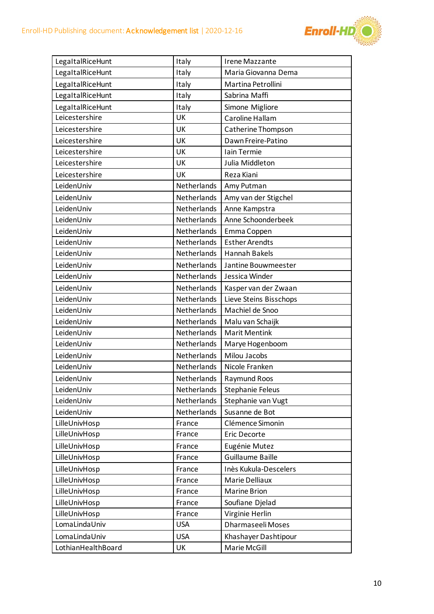

| LegaltalRiceHunt   | Italy       | Irene Mazzante          |
|--------------------|-------------|-------------------------|
| LegaltalRiceHunt   | Italy       | Maria Giovanna Dema     |
| LegaltalRiceHunt   | Italy       | Martina Petrollini      |
| LegaltalRiceHunt   | Italy       | Sabrina Maffi           |
| LegaltalRiceHunt   | Italy       | Simone Migliore         |
| Leicestershire     | UK          | Caroline Hallam         |
| Leicestershire     | UK          | Catherine Thompson      |
| Leicestershire     | UK          | Dawn Freire-Patino      |
| Leicestershire     | UK          | Iain Termie             |
| Leicestershire     | UK          | Julia Middleton         |
| Leicestershire     | UK          | Reza Kiani              |
| LeidenUniv         | Netherlands | Amy Putman              |
| LeidenUniv         | Netherlands | Amy van der Stigchel    |
| LeidenUniv         | Netherlands | Anne Kampstra           |
| LeidenUniv         | Netherlands | Anne Schoonderbeek      |
| LeidenUniv         | Netherlands | Emma Coppen             |
| LeidenUniv         | Netherlands | <b>Esther Arendts</b>   |
| LeidenUniv         | Netherlands | Hannah Bakels           |
| LeidenUniv         | Netherlands | Jantine Bouwmeester     |
| LeidenUniv         | Netherlands | Jessica Winder          |
| LeidenUniv         | Netherlands | Kasper van der Zwaan    |
| LeidenUniv         | Netherlands | Lieve Steins Bisschops  |
| LeidenUniv         | Netherlands | Machiel de Snoo         |
| LeidenUniv         | Netherlands | Malu van Schaijk        |
| LeidenUniv         | Netherlands | <b>Marit Mentink</b>    |
| LeidenUniv         | Netherlands | Marye Hogenboom         |
| LeidenUniv         | Netherlands | Milou Jacobs            |
| LeidenUniv         | Netherlands | Nicole Franken          |
| LeidenUniv         | Netherlands | Raymund Roos            |
| LeidenUniv         | Netherlands | <b>Stephanie Feleus</b> |
| LeidenUniv         | Netherlands | Stephanie van Vugt      |
| LeidenUniv         | Netherlands | Susanne de Bot          |
| LilleUnivHosp      | France      | Clémence Simonin        |
| LilleUnivHosp      | France      | Eric Decorte            |
| LilleUnivHosp      | France      | Eugénie Mutez           |
| LilleUnivHosp      | France      | Guillaume Baille        |
| LilleUnivHosp      | France      | Inès Kukula-Descelers   |
| LilleUnivHosp      | France      | Marie Delliaux          |
| LilleUnivHosp      | France      | <b>Marine Brion</b>     |
| LilleUnivHosp      | France      | Soufiane Djelad         |
| LilleUnivHosp      | France      | Virginie Herlin         |
| LomaLindaUniv      | <b>USA</b>  | Dharmaseeli Moses       |
| LomaLindaUniv      | <b>USA</b>  | Khashayer Dashtipour    |
| LothianHealthBoard | UK          | Marie McGill            |
|                    |             |                         |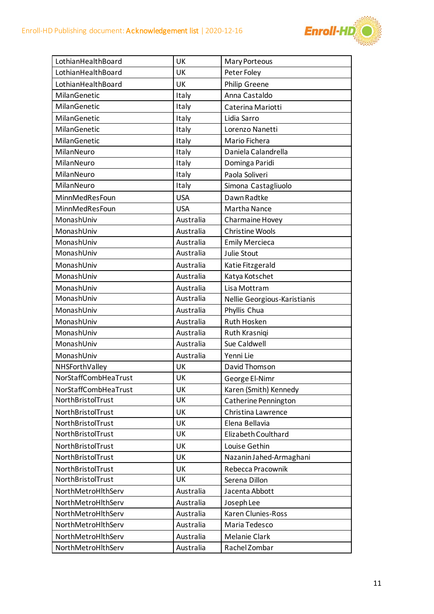

| LothianHealthBoard   | UK         | Mary Porteous                |
|----------------------|------------|------------------------------|
| LothianHealthBoard   | UK         | Peter Foley                  |
| LothianHealthBoard   | UK         | Philip Greene                |
| MilanGenetic         | Italy      | Anna Castaldo                |
| MilanGenetic         | Italy      | Caterina Mariotti            |
| MilanGenetic         | Italy      | Lidia Sarro                  |
| MilanGenetic         | Italy      | Lorenzo Nanetti              |
| MilanGenetic         | Italy      | Mario Fichera                |
| MilanNeuro           | Italy      | Daniela Calandrella          |
| MilanNeuro           | Italy      | Dominga Paridi               |
| MilanNeuro           | Italy      | Paola Soliveri               |
| MilanNeuro           | Italy      | Simona Castagliuolo          |
| MinnMedResFoun       | <b>USA</b> | Dawn Radtke                  |
| MinnMedResFoun       | <b>USA</b> | <b>Martha Nance</b>          |
| MonashUniv           | Australia  | Charmaine Hovey              |
| MonashUniv           | Australia  | <b>Christine Wools</b>       |
| MonashUniv           | Australia  | <b>Emily Mercieca</b>        |
| MonashUniv           | Australia  | Julie Stout                  |
| MonashUniv           | Australia  | Katie Fitzgerald             |
| MonashUniv           | Australia  | Katya Kotschet               |
| MonashUniv           | Australia  | Lisa Mottram                 |
| MonashUniv           | Australia  | Nellie Georgious-Karistianis |
| MonashUniv           | Australia  | Phyllis Chua                 |
| MonashUniv           | Australia  | Ruth Hosken                  |
| MonashUniv           | Australia  | Ruth Krasniqi                |
| MonashUniv           | Australia  | Sue Caldwell                 |
| MonashUniv           | Australia  | Yenni Lie                    |
| NHSForthValley       | UK         | David Thomson                |
| NorStaffCombHeaTrust | UK         | George El-Nimr               |
| NorStaffCombHeaTrust | UK         | Karen (Smith) Kennedy        |
| NorthBristolTrust    | UK         | Catherine Pennington         |
| NorthBristolTrust    | UK         | Christina Lawrence           |
| NorthBristolTrust    | UK         | Elena Bellavia               |
| NorthBristolTrust    | UK         | Elizabeth Coulthard          |
| NorthBristolTrust    | UK         | Louise Gethin                |
| NorthBristolTrust    | UK         | Nazanin Jahed-Armaghani      |
| NorthBristolTrust    | UK         | Rebecca Pracownik            |
| NorthBristolTrust    | UK         | Serena Dillon                |
| NorthMetroHlthServ   | Australia  | Jacenta Abbott               |
| NorthMetroHlthServ   | Australia  | Joseph Lee                   |
| NorthMetroHlthServ   | Australia  | Karen Clunies-Ross           |
| NorthMetroHlthServ   | Australia  | Maria Tedesco                |
| NorthMetroHlthServ   | Australia  | <b>Melanie Clark</b>         |
| NorthMetroHlthServ   | Australia  | Rachel Zombar                |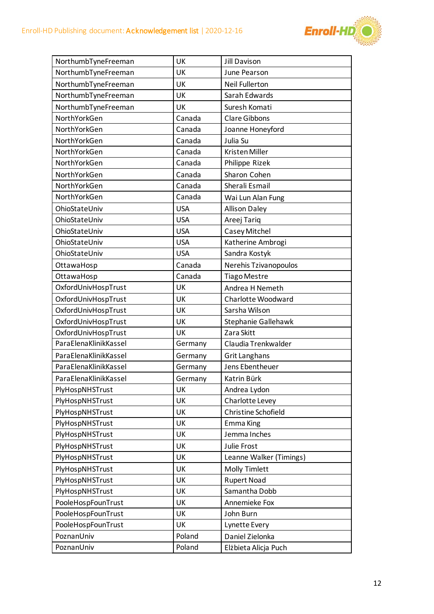

| NorthumbTyneFreeman   | UK         | <b>Jill Davison</b>     |
|-----------------------|------------|-------------------------|
| NorthumbTyneFreeman   | UK         | June Pearson            |
| NorthumbTyneFreeman   | UK         | <b>Neil Fullerton</b>   |
| NorthumbTyneFreeman   | UK         | Sarah Edwards           |
| NorthumbTyneFreeman   | UK         | Suresh Komati           |
| NorthYorkGen          | Canada     | <b>Clare Gibbons</b>    |
| NorthYorkGen          | Canada     | Joanne Honeyford        |
| NorthYorkGen          | Canada     | Julia Su                |
| NorthYorkGen          | Canada     | Kristen Miller          |
| NorthYorkGen          | Canada     | Philippe Rizek          |
| NorthYorkGen          | Canada     | Sharon Cohen            |
| NorthYorkGen          | Canada     | Sherali Esmail          |
| NorthYorkGen          | Canada     | Wai Lun Alan Fung       |
| OhioStateUniv         | <b>USA</b> | <b>Allison Daley</b>    |
| OhioStateUniv         | <b>USA</b> | Areej Tariq             |
| OhioStateUniv         | <b>USA</b> | Casey Mitchel           |
| OhioStateUniv         | <b>USA</b> | Katherine Ambrogi       |
| OhioStateUniv         | <b>USA</b> | Sandra Kostyk           |
| OttawaHosp            | Canada     | Nerehis Tzivanopoulos   |
| OttawaHosp            | Canada     | <b>Tiago Mestre</b>     |
| OxfordUnivHospTrust   | UK         | Andrea H Nemeth         |
| OxfordUnivHospTrust   | UK         | Charlotte Woodward      |
| OxfordUnivHospTrust   | UK         | Sarsha Wilson           |
| OxfordUnivHospTrust   | UK         | Stephanie Gallehawk     |
| OxfordUnivHospTrust   | UK         | Zara Skitt              |
| ParaElenaKlinikKassel | Germany    | Claudia Trenkwalder     |
| ParaElenaKlinikKassel | Germany    | <b>Grit Langhans</b>    |
| ParaElenaKlinikKassel | Germany    | Jens Ebentheuer         |
| ParaElenaKlinikKassel | Germany    | Katrin Bürk             |
| PlyHospNHSTrust       | UK         | Andrea Lydon            |
| PlyHospNHSTrust       | UK         | Charlotte Levey         |
| PlyHospNHSTrust       | UK         | Christine Schofield     |
| PlyHospNHSTrust       | UK         | Emma King               |
| PlyHospNHSTrust       | UK         | Jemma Inches            |
| PlyHospNHSTrust       | UK         | Julie Frost             |
| PlyHospNHSTrust       | UK         | Leanne Walker (Timings) |
| PlyHospNHSTrust       | UK         | <b>Molly Timlett</b>    |
| PlyHospNHSTrust       | UK         | <b>Rupert Noad</b>      |
| PlyHospNHSTrust       | UK         | Samantha Dobb           |
| PooleHospFounTrust    | UK         | Annemieke Fox           |
| PooleHospFounTrust    | UK         | John Burn               |
| PooleHospFounTrust    | UK         | Lynette Every           |
| PoznanUniv            | Poland     | Daniel Zielonka         |
| PoznanUniv            | Poland     | Elżbieta Alicja Puch    |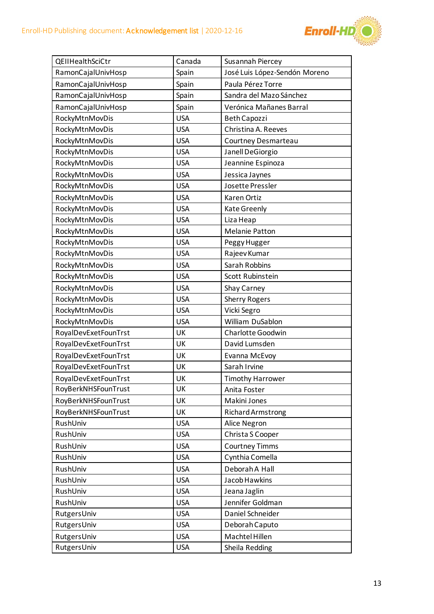

| QEIIHealthSciCtr     | Canada     | Susannah Piercey              |
|----------------------|------------|-------------------------------|
| RamonCajalUnivHosp   | Spain      | José Luis López-Sendón Moreno |
| RamonCajalUnivHosp   | Spain      | Paula Pérez Torre             |
| RamonCajalUnivHosp   | Spain      | Sandra del Mazo Sánchez       |
| RamonCajalUnivHosp   | Spain      | Verónica Mañanes Barral       |
| RockyMtnMovDis       | <b>USA</b> | Beth Capozzi                  |
| RockyMtnMovDis       | <b>USA</b> | Christina A. Reeves           |
| RockyMtnMovDis       | <b>USA</b> | Courtney Desmarteau           |
| RockyMtnMovDis       | <b>USA</b> | Janell DeGiorgio              |
| RockyMtnMovDis       | <b>USA</b> | Jeannine Espinoza             |
| RockyMtnMovDis       | <b>USA</b> | Jessica Jaynes                |
| RockyMtnMovDis       | <b>USA</b> | Josette Pressler              |
| RockyMtnMovDis       | <b>USA</b> | Karen Ortiz                   |
| RockyMtnMovDis       | <b>USA</b> | Kate Greenly                  |
| RockyMtnMovDis       | <b>USA</b> | Liza Heap                     |
| RockyMtnMovDis       | <b>USA</b> | <b>Melanie Patton</b>         |
| RockyMtnMovDis       | <b>USA</b> | Peggy Hugger                  |
| RockyMtnMovDis       | <b>USA</b> | Rajeev Kumar                  |
| RockyMtnMovDis       | <b>USA</b> | Sarah Robbins                 |
| RockyMtnMovDis       | <b>USA</b> | Scott Rubinstein              |
| RockyMtnMovDis       | <b>USA</b> | Shay Carney                   |
| RockyMtnMovDis       | <b>USA</b> | <b>Sherry Rogers</b>          |
| RockyMtnMovDis       | <b>USA</b> | Vicki Segro                   |
| RockyMtnMovDis       | <b>USA</b> | William DuSablon              |
| RoyalDevExetFounTrst | UK         | Charlotte Goodwin             |
| RoyalDevExetFounTrst | UK         | David Lumsden                 |
| RoyalDevExetFounTrst | UK         | Evanna McEvoy                 |
| RoyalDevExetFounTrst | UK         | Sarah Irvine                  |
| RoyalDevExetFounTrst | UK         | <b>Timothy Harrower</b>       |
| RoyBerkNHSFounTrust  | UK         | Anita Foster                  |
| RoyBerkNHSFounTrust  | UK         | Makini Jones                  |
| RoyBerkNHSFounTrust  | UK         | <b>Richard Armstrong</b>      |
| RushUniv             | <b>USA</b> | Alice Negron                  |
| RushUniv             | <b>USA</b> | Christa S Cooper              |
| RushUniv             | <b>USA</b> | <b>Courtney Timms</b>         |
| RushUniv             | <b>USA</b> | Cynthia Comella               |
| RushUniv             | <b>USA</b> | Deborah A Hall                |
| RushUniv             | <b>USA</b> | Jacob Hawkins                 |
| RushUniv             | <b>USA</b> | Jeana Jaglin                  |
| RushUniv             | <b>USA</b> | Jennifer Goldman              |
| RutgersUniv          | <b>USA</b> | Daniel Schneider              |
| RutgersUniv          | <b>USA</b> | Deborah Caputo                |
| RutgersUniv          | <b>USA</b> | Machtel Hillen                |
| RutgersUniv          | <b>USA</b> | Sheila Redding                |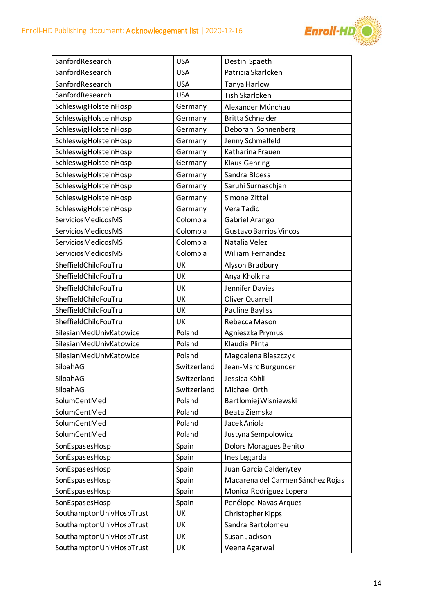

| SanfordResearch          | <b>USA</b>  | Destini Spaeth                    |
|--------------------------|-------------|-----------------------------------|
| SanfordResearch          | <b>USA</b>  | Patricia Skarloken                |
| SanfordResearch          | <b>USA</b>  | Tanya Harlow                      |
| SanfordResearch          | <b>USA</b>  | <b>Tish Skarloken</b>             |
| SchleswigHolsteinHosp    | Germany     | Alexander Münchau                 |
| SchleswigHolsteinHosp    | Germany     | <b>Britta Schneider</b>           |
| SchleswigHolsteinHosp    | Germany     | Deborah Sonnenberg                |
| SchleswigHolsteinHosp    | Germany     | Jenny Schmalfeld                  |
| SchleswigHolsteinHosp    | Germany     | Katharina Frauen                  |
| SchleswigHolsteinHosp    | Germany     | <b>Klaus Gehring</b>              |
| SchleswigHolsteinHosp    | Germany     | Sandra Bloess                     |
| SchleswigHolsteinHosp    | Germany     | Saruhi Surnaschjan                |
| SchleswigHolsteinHosp    | Germany     | Simone Zittel                     |
| SchleswigHolsteinHosp    | Germany     | Vera Tadic                        |
| Servicios Medicos MS     | Colombia    | Gabriel Arango                    |
| Servicios Medicos MS     | Colombia    | <b>Gustavo Barrios Vincos</b>     |
| Servicios Medicos MS     | Colombia    | Natalia Velez                     |
| Servicios Medicos MS     | Colombia    | William Fernandez                 |
| SheffieldChildFouTru     | UK          | Alyson Bradbury                   |
| SheffieldChildFouTru     | UK          | Anya Kholkina                     |
| SheffieldChildFouTru     | UK          | Jennifer Davies                   |
| SheffieldChildFouTru     | UK          | <b>Oliver Quarrell</b>            |
| SheffieldChildFouTru     | UK          | Pauline Bayliss                   |
| SheffieldChildFouTru     | UK          | Rebecca Mason                     |
| SilesianMedUnivKatowice  | Poland      | Agnieszka Prymus                  |
| SilesianMedUnivKatowice  | Poland      | Klaudia Plinta                    |
| SilesianMedUnivKatowice  | Poland      | Magdalena Blaszczyk               |
| SiloahAG                 | Switzerland | Jean-Marc Burgunder               |
| SiloahAG                 | Switzerland | Jessica Köhli                     |
| SiloahAG                 | Switzerland | Michael Orth                      |
| SolumCentMed             | Poland      | Bartlomiej Wisniewski             |
| SolumCentMed             | Poland      | Beata Ziemska                     |
| SolumCentMed             | Poland      | Jacek Aniola                      |
| SolumCentMed             | Poland      | Justyna Sempolowicz               |
| SonEspasesHosp           | Spain       | <b>Dolors Moragues Benito</b>     |
| SonEspasesHosp           | Spain       | Ines Legarda                      |
| SonEspasesHosp           | Spain       | Juan Garcia Caldenytey            |
| SonEspasesHosp           | Spain       | Macarena del Carmen Sánchez Rojas |
| SonEspasesHosp           | Spain       | Monica Rodriguez Lopera           |
| SonEspasesHosp           | Spain       | Penélope Navas Arques             |
| SouthamptonUnivHospTrust | UK          | Christopher Kipps                 |
| SouthamptonUnivHospTrust | UK          | Sandra Bartolomeu                 |
| SouthamptonUnivHospTrust | UK          | Susan Jackson                     |
| SouthamptonUnivHospTrust | UK          | Veena Agarwal                     |
|                          |             |                                   |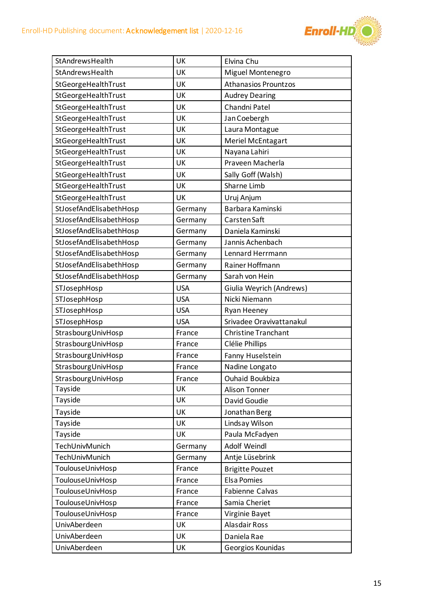

| StAndrewsHealth         | UK         | Elvina Chu                  |
|-------------------------|------------|-----------------------------|
| StAndrewsHealth         | UK         | Miguel Montenegro           |
| StGeorgeHealthTrust     | UK         | <b>Athanasios Prountzos</b> |
| StGeorgeHealthTrust     | UK         | <b>Audrey Dearing</b>       |
| StGeorgeHealthTrust     | UK         | Chandni Patel               |
| StGeorgeHealthTrust     | UK         | Jan Coebergh                |
| StGeorgeHealthTrust     | UK         | Laura Montague              |
| StGeorgeHealthTrust     | UK         | Meriel McEntagart           |
| StGeorgeHealthTrust     | UK         | Nayana Lahiri               |
| StGeorgeHealthTrust     | UK         | Praveen Macherla            |
| StGeorgeHealthTrust     | UK         | Sally Goff (Walsh)          |
| StGeorgeHealthTrust     | UK         | Sharne Limb                 |
| StGeorgeHealthTrust     | UK         | Uruj Anjum                  |
| StJosefAndElisabethHosp | Germany    | Barbara Kaminski            |
| StJosefAndElisabethHosp | Germany    | Carsten Saft                |
| StJosefAndElisabethHosp | Germany    | Daniela Kaminski            |
| StJosefAndElisabethHosp | Germany    | Jannis Achenbach            |
| StJosefAndElisabethHosp | Germany    | Lennard Herrmann            |
| StJosefAndElisabethHosp | Germany    | Rainer Hoffmann             |
| StJosefAndElisabethHosp | Germany    | Sarah von Hein              |
| STJosephHosp            | <b>USA</b> | Giulia Weyrich (Andrews)    |
| STJosephHosp            | <b>USA</b> | Nicki Niemann               |
| STJosephHosp            | <b>USA</b> | Ryan Heeney                 |
| STJosephHosp            | <b>USA</b> | Srivadee Oravivattanakul    |
| StrasbourgUnivHosp      | France     | <b>Christine Tranchant</b>  |
| StrasbourgUnivHosp      | France     | Clélie Phillips             |
| StrasbourgUnivHosp      | France     | Fanny Huselstein            |
| StrasbourgUnivHosp      | France     | Nadine Longato              |
| StrasbourgUnivHosp      | France     | Ouhaid Boukbiza             |
| Tayside                 | UK         | <b>Alison Tonner</b>        |
| Tayside                 | UK         | David Goudie                |
| Tayside                 | UK         | Jonathan Berg               |
| Tayside                 | UK         | Lindsay Wilson              |
| Tayside                 | UK         | Paula McFadyen              |
| TechUnivMunich          | Germany    | Adolf Weindl                |
| TechUnivMunich          | Germany    | Antje Lüsebrink             |
| ToulouseUnivHosp        | France     | <b>Brigitte Pouzet</b>      |
| ToulouseUnivHosp        | France     | <b>Elsa Pomies</b>          |
| ToulouseUnivHosp        | France     | Fabienne Calvas             |
| ToulouseUnivHosp        | France     | Samia Cheriet               |
| ToulouseUnivHosp        | France     | Virginie Bayet              |
| UnivAberdeen            | UK         | <b>Alasdair Ross</b>        |
| UnivAberdeen            | UK         | Daniela Rae                 |
| UnivAberdeen            | UK         | Georgios Kounidas           |
|                         |            |                             |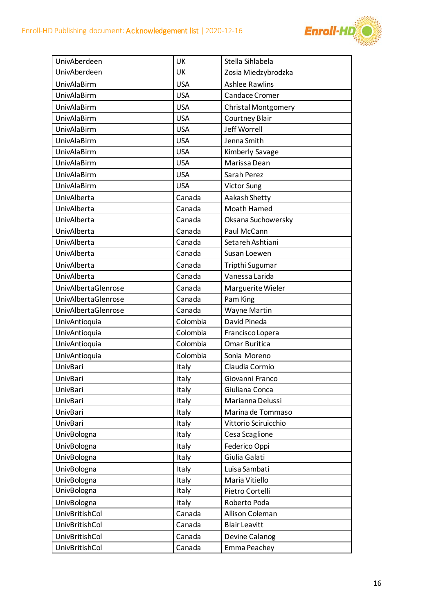

| UnivAberdeen               |            |                            |
|----------------------------|------------|----------------------------|
|                            | UK         | Stella Sihlabela           |
| UnivAberdeen               | UK         | Zosia Miedzybrodzka        |
| <b>UnivAlaBirm</b>         | <b>USA</b> | <b>Ashlee Rawlins</b>      |
| <b>UnivAlaBirm</b>         | <b>USA</b> | Candace Cromer             |
| <b>UnivAlaBirm</b>         | <b>USA</b> | <b>Christal Montgomery</b> |
| <b>UnivAlaBirm</b>         | <b>USA</b> | Courtney Blair             |
| <b>UnivAlaBirm</b>         | <b>USA</b> | Jeff Worrell               |
| <b>UnivAlaBirm</b>         | <b>USA</b> | Jenna Smith                |
| <b>UnivAlaBirm</b>         | <b>USA</b> | Kimberly Savage            |
| <b>UnivAlaBirm</b>         | <b>USA</b> | Marissa Dean               |
| <b>UnivAlaBirm</b>         | <b>USA</b> | Sarah Perez                |
| <b>UnivAlaBirm</b>         | <b>USA</b> | <b>Victor Sung</b>         |
| UnivAlberta                | Canada     | Aakash Shetty              |
| UnivAlberta                | Canada     | Moath Hamed                |
| UnivAlberta                | Canada     | Oksana Suchowersky         |
| UnivAlberta                | Canada     | Paul McCann                |
| UnivAlberta                | Canada     | Setareh Ashtiani           |
| UnivAlberta                | Canada     | Susan Loewen               |
| UnivAlberta                | Canada     | Tripthi Sugumar            |
| UnivAlberta                | Canada     | Vanessa Larida             |
| <b>UnivAlbertaGlenrose</b> | Canada     | Marguerite Wieler          |
| <b>UnivAlbertaGlenrose</b> | Canada     | Pam King                   |
| <b>UnivAlbertaGlenrose</b> | Canada     | <b>Wayne Martin</b>        |
|                            |            |                            |
| UnivAntioquia              | Colombia   | David Pineda               |
| <b>UnivAntioquia</b>       | Colombia   | Francisco Lopera           |
| <b>UnivAntioquia</b>       | Colombia   | <b>Omar Buritica</b>       |
| <b>UnivAntioquia</b>       | Colombia   | Sonia Moreno               |
| UnivBari                   | Italy      | Claudia Cormio             |
| UnivBari                   | Italy      | Giovanni Franco            |
| UnivBari                   | Italy      | Giuliana Conca             |
| UnivBari                   | Italy      | Marianna Delussi           |
| UnivBari                   | Italy      | Marina de Tommaso          |
| <b>UnivBari</b>            | Italy      | Vittorio Sciruicchio       |
| UnivBologna                | Italy      | Cesa Scaglione             |
| UnivBologna                | Italy      | Federico Oppi              |
| UnivBologna                | Italy      | Giulia Galati              |
| UnivBologna                | Italy      | Luisa Sambati              |
| UnivBologna                | Italy      | Maria Vitiello             |
| UnivBologna                | Italy      | Pietro Cortelli            |
| UnivBologna                | Italy      | Roberto Poda               |
| <b>UnivBritishCol</b>      | Canada     | Allison Coleman            |
| <b>UnivBritishCol</b>      | Canada     | <b>Blair Leavitt</b>       |
| UnivBritishCol             | Canada     | Devine Calanog             |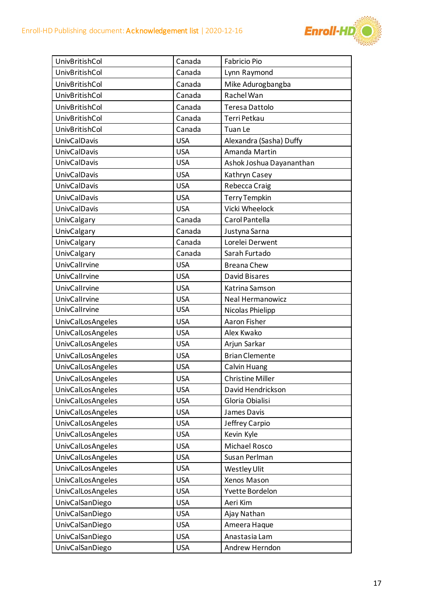

| <b>UnivBritishCol</b>    | Canada     | <b>Fabricio Pio</b>      |
|--------------------------|------------|--------------------------|
| <b>UnivBritishCol</b>    | Canada     | Lynn Raymond             |
| <b>UnivBritishCol</b>    | Canada     | Mike Adurogbangba        |
| <b>UnivBritishCol</b>    | Canada     | Rachel Wan               |
| <b>UnivBritishCol</b>    | Canada     | <b>Teresa Dattolo</b>    |
| <b>UnivBritishCol</b>    | Canada     | Terri Petkau             |
| <b>UnivBritishCol</b>    | Canada     | Tuan Le                  |
| <b>UnivCalDavis</b>      | <b>USA</b> | Alexandra (Sasha) Duffy  |
| <b>UnivCalDavis</b>      | <b>USA</b> | Amanda Martin            |
| <b>UnivCalDavis</b>      | <b>USA</b> | Ashok Joshua Dayananthan |
| <b>UnivCalDavis</b>      | <b>USA</b> | Kathryn Casey            |
| <b>UnivCalDavis</b>      | <b>USA</b> | Rebecca Craig            |
| <b>UnivCalDavis</b>      | <b>USA</b> | <b>Terry Tempkin</b>     |
| <b>UnivCalDavis</b>      | <b>USA</b> | Vicki Wheelock           |
| UnivCalgary              | Canada     | Carol Pantella           |
| UnivCalgary              | Canada     | Justyna Sarna            |
| UnivCalgary              | Canada     | Lorelei Derwent          |
| UnivCalgary              | Canada     | Sarah Furtado            |
| UnivCalIrvine            | <b>USA</b> | <b>Breana Chew</b>       |
| UnivCalIrvine            | <b>USA</b> | <b>David Bisares</b>     |
| UnivCalIrvine            | <b>USA</b> | Katrina Samson           |
| UnivCalIrvine            | <b>USA</b> | <b>Neal Hermanowicz</b>  |
| UnivCalIrvine            | <b>USA</b> | Nicolas Phielipp         |
| <b>UnivCalLosAngeles</b> | <b>USA</b> | Aaron Fisher             |
| <b>UnivCalLosAngeles</b> | <b>USA</b> | Alex Kwako               |
| <b>UnivCalLosAngeles</b> | <b>USA</b> | Arjun Sarkar             |
| <b>UnivCalLosAngeles</b> | <b>USA</b> | <b>Brian Clemente</b>    |
| <b>UnivCalLosAngeles</b> | <b>USA</b> | Calvin Huang             |
| <b>UnivCalLosAngeles</b> | <b>USA</b> | <b>Christine Miller</b>  |
| <b>UnivCalLosAngeles</b> | <b>USA</b> | David Hendrickson        |
| <b>UnivCalLosAngeles</b> | <b>USA</b> | Gloria Obialisi          |
| <b>UnivCalLosAngeles</b> | <b>USA</b> | James Davis              |
| <b>UnivCalLosAngeles</b> | <b>USA</b> | Jeffrey Carpio           |
| <b>UnivCalLosAngeles</b> | <b>USA</b> | Kevin Kyle               |
| <b>UnivCalLosAngeles</b> | <b>USA</b> | Michael Rosco            |
| <b>UnivCalLosAngeles</b> | <b>USA</b> | Susan Perlman            |
| <b>UnivCalLosAngeles</b> | <b>USA</b> | Westley Ulit             |
| <b>UnivCalLosAngeles</b> | <b>USA</b> | Xenos Mason              |
| <b>UnivCalLosAngeles</b> | <b>USA</b> | Yvette Bordelon          |
| UnivCalSanDiego          | <b>USA</b> | Aeri Kim                 |
| UnivCalSanDiego          | <b>USA</b> | Ajay Nathan              |
| UnivCalSanDiego          | <b>USA</b> | Ameera Haque             |
| UnivCalSanDiego          | <b>USA</b> | Anastasia Lam            |
| UnivCalSanDiego          | <b>USA</b> | Andrew Herndon           |
|                          |            |                          |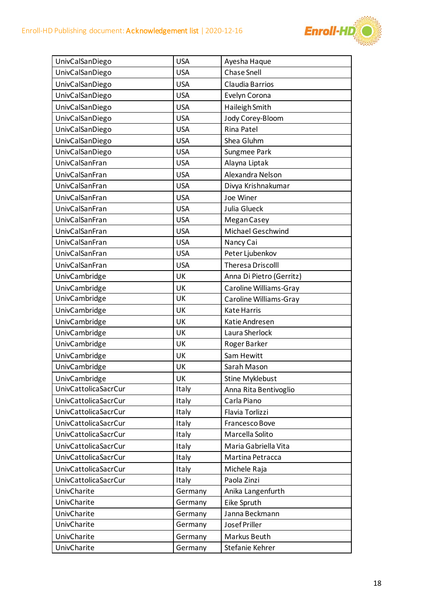

| UnivCalSanDiego             | <b>USA</b> | Ayesha Haque             |
|-----------------------------|------------|--------------------------|
| UnivCalSanDiego             | <b>USA</b> | <b>Chase Snell</b>       |
| UnivCalSanDiego             | <b>USA</b> | Claudia Barrios          |
| UnivCalSanDiego             | <b>USA</b> | Evelyn Corona            |
| UnivCalSanDiego             | <b>USA</b> | Haileigh Smith           |
| UnivCalSanDiego             | <b>USA</b> | Jody Corey-Bloom         |
| UnivCalSanDiego             | <b>USA</b> | Rina Patel               |
| UnivCalSanDiego             | <b>USA</b> | Shea Gluhm               |
| UnivCalSanDiego             | <b>USA</b> | Sungmee Park             |
| UnivCalSanFran              | <b>USA</b> | Alayna Liptak            |
| UnivCalSanFran              | <b>USA</b> | Alexandra Nelson         |
| UnivCalSanFran              | <b>USA</b> | Divya Krishnakumar       |
| UnivCalSanFran              | <b>USA</b> | Joe Winer                |
| UnivCalSanFran              | <b>USA</b> | Julia Glueck             |
| UnivCalSanFran              | <b>USA</b> | Megan Casey              |
| UnivCalSanFran              | <b>USA</b> | <b>Michael Geschwind</b> |
| UnivCalSanFran              | <b>USA</b> | Nancy Cai                |
| UnivCalSanFran              | <b>USA</b> | Peter Ljubenkov          |
| UnivCalSanFran              | <b>USA</b> | <b>Theresa Driscolll</b> |
| UnivCambridge               | UK         | Anna Di Pietro (Gerritz) |
| UnivCambridge               | UK         | Caroline Williams-Gray   |
| UnivCambridge               | UK         | Caroline Williams-Gray   |
| UnivCambridge               | UK         | <b>Kate Harris</b>       |
| UnivCambridge               | UK         | Katie Andresen           |
| UnivCambridge               | UK         | Laura Sherlock           |
| UnivCambridge               | UK         | Roger Barker             |
| UnivCambridge               | UK         | Sam Hewitt               |
| <b>UnivCambridge</b>        | UK         | Sarah Mason              |
| UnivCambridge               | UK         | <b>Stine Myklebust</b>   |
| <b>UnivCattolicaSacrCur</b> | Italy      | Anna Rita Bentivoglio    |
| <b>UnivCattolicaSacrCur</b> | Italy      | Carla Piano              |
| <b>UnivCattolicaSacrCur</b> | Italy      | Flavia Torlizzi          |
| <b>UnivCattolicaSacrCur</b> | Italy      | Francesco Bove           |
| <b>UnivCattolicaSacrCur</b> | Italy      | Marcella Solito          |
| <b>UnivCattolicaSacrCur</b> | Italy      | Maria Gabriella Vita     |
| <b>UnivCattolicaSacrCur</b> | Italy      | Martina Petracca         |
| <b>UnivCattolicaSacrCur</b> | Italy      | Michele Raja             |
| <b>UnivCattolicaSacrCur</b> | Italy      | Paola Zinzi              |
| UnivCharite                 | Germany    | Anika Langenfurth        |
| UnivCharite                 | Germany    | Eike Spruth              |
| UnivCharite                 | Germany    | Janna Beckmann           |
| UnivCharite                 | Germany    | Josef Priller            |
| UnivCharite                 | Germany    | Markus Beuth             |
| UnivCharite                 | Germany    | Stefanie Kehrer          |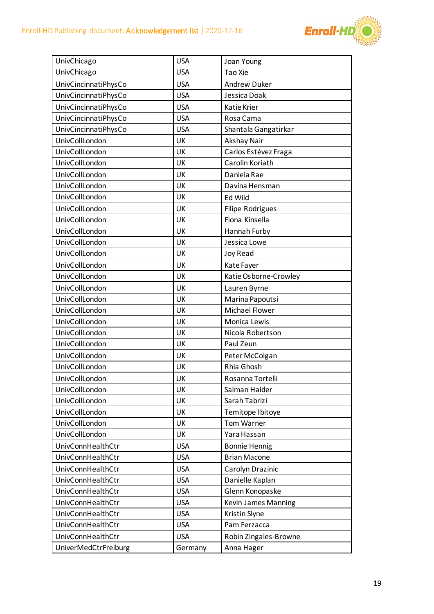

| UnivChicago                 | <b>USA</b> | Joan Young                 |
|-----------------------------|------------|----------------------------|
| UnivChicago                 | <b>USA</b> | Tao Xie                    |
| UnivCincinnatiPhysCo        | <b>USA</b> | <b>Andrew Duker</b>        |
| UnivCincinnatiPhysCo        | <b>USA</b> | Jessica Doak               |
| UnivCincinnatiPhysCo        | <b>USA</b> | Katie Krier                |
| UnivCincinnatiPhysCo        | <b>USA</b> | Rosa Cama                  |
| UnivCincinnatiPhysCo        | <b>USA</b> | Shantala Gangatirkar       |
| UnivCollLondon              | UK         | Akshay Nair                |
| UnivCollLondon              | UK         | Carlos Estévez Fraga       |
| UnivCollLondon              | UK         | Carolin Koriath            |
| UnivCollLondon              | UK         | Daniela Rae                |
| UnivCollLondon              | UK         | Davina Hensman             |
| UnivCollLondon              | UK         | Ed Wild                    |
| UnivCollLondon              | UK         | Filipe Rodrigues           |
| UnivCollLondon              | UK         | Fiona Kinsella             |
| UnivCollLondon              | UK         | Hannah Furby               |
| UnivCollLondon              | UK         | Jessica Lowe               |
| UnivCollLondon              | UK         | <b>Joy Read</b>            |
| UnivCollLondon              | UK         | Kate Fayer                 |
| UnivCollLondon              | UK         | Katie Osborne-Crowley      |
| UnivCollLondon              | UK         | Lauren Byrne               |
| UnivCollLondon              | UK         | Marina Papoutsi            |
| UnivCollLondon              | UK         | <b>Michael Flower</b>      |
| UnivCollLondon              | UK         | Monica Lewis               |
| UnivCollLondon              | UK         | Nicola Robertson           |
| UnivCollLondon              | UK         | Paul Zeun                  |
| UnivCollLondon              | UK         | Peter McColgan             |
| UnivCollLondon              | UK         | Rhia Ghosh                 |
| UnivCollLondon              | UK         | Rosanna Tortelli           |
| UnivCollLondon              | UK         | Salman Haider              |
| UnivCollLondon              | UK         | Sarah Tabrizi              |
| UnivCollLondon              | UK         | Temitope Ibitoye           |
| UnivCollLondon              | UK         | <b>Tom Warner</b>          |
| UnivCollLondon              | UK         | Yara Hassan                |
| UnivConnHealthCtr           | <b>USA</b> | <b>Bonnie Hennig</b>       |
| UnivConnHealthCtr           | <b>USA</b> | <b>Brian Macone</b>        |
| UnivConnHealthCtr           | <b>USA</b> | Carolyn Drazinic           |
| UnivConnHealthCtr           | <b>USA</b> | Danielle Kaplan            |
| UnivConnHealthCtr           | <b>USA</b> | Glenn Konopaske            |
| UnivConnHealthCtr           | <b>USA</b> | <b>Kevin James Manning</b> |
| UnivConnHealthCtr           | <b>USA</b> | Kristin Slyne              |
| UnivConnHealthCtr           | <b>USA</b> | Pam Ferzacca               |
| UnivConnHealthCtr           | <b>USA</b> | Robin Zingales-Browne      |
| <b>UniverMedCtrFreiburg</b> | Germany    | Anna Hager                 |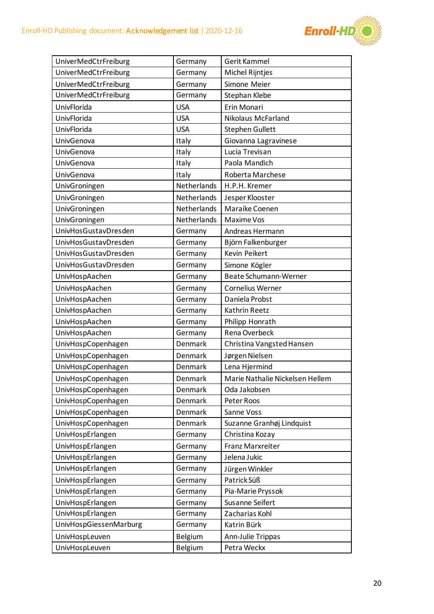

| UniverMedCtrFreiburg   | Germany        | <b>Gerit Kammel</b>             |
|------------------------|----------------|---------------------------------|
| UniverMedCtrFreiburg   | Germany        | Michel Rijntjes                 |
| UniverMedCtrFreiburg   | Germany        | Simone Meier                    |
| UniverMedCtrFreiburg   | Germany        | Stephan Klebe                   |
| UnivFlorida            | <b>USA</b>     | Erin Monari                     |
| UnivFlorida            | <b>USA</b>     | Nikolaus McFarland              |
| UnivFlorida            | <b>USA</b>     | <b>Stephen Gullett</b>          |
| UnivGenova             | Italy          | Giovanna Lagravinese            |
| UnivGenova             | Italy          | Lucia Trevisan                  |
| UnivGenova             | Italy          | Paola Mandich                   |
| UnivGenova             | Italy          | Roberta Marchese                |
| UnivGroningen          | Netherlands    | H.P.H. Kremer                   |
| UnivGroningen          | Netherlands    | Jesper Klooster                 |
| UnivGroningen          | Netherlands    | Maraike Coenen                  |
| UnivGroningen          | Netherlands    | <b>Maxime Vos</b>               |
| UnivHosGustavDresden   | Germany        | Andreas Hermann                 |
| UnivHosGustavDresden   | Germany        | Björn Falkenburger              |
| UnivHosGustavDresden   | Germany        | Kevin Peikert                   |
| UnivHosGustavDresden   | Germany        | Simone Kögler                   |
| UnivHospAachen         | Germany        | Beate Schumann-Werner           |
| UnivHospAachen         | Germany        | <b>Cornelius Werner</b>         |
| UnivHospAachen         | Germany        | Daniela Probst                  |
| UnivHospAachen         | Germany        | Kathrin Reetz                   |
| UnivHospAachen         | Germany        | Philipp Honrath                 |
| UnivHospAachen         | Germany        | <b>Rena Overbeck</b>            |
| UnivHospCopenhagen     | Denmark        | Christina Vangsted Hansen       |
| UnivHospCopenhagen     | Denmark        | Jørgen Nielsen                  |
| UnivHospCopenhagen     | Denmark        | Lena Hjermind                   |
| UnivHospCopenhagen     | Denmark        | Marie Nathalie Nickelsen Hellem |
| UnivHospCopenhagen     | Denmark        | Oda Jakobsen                    |
| UnivHospCopenhagen     | Denmark        | Peter Roos                      |
| UnivHospCopenhagen     | Denmark        | Sanne Voss                      |
| UnivHospCopenhagen     | Denmark        | Suzanne Granhøj Lindquist       |
| UnivHospErlangen       | Germany        | Christina Kozay                 |
| UnivHospErlangen       | Germany        | <b>Franz Marxreiter</b>         |
| UnivHospErlangen       | Germany        | Jelena Jukic                    |
| UnivHospErlangen       | Germany        | Jürgen Winkler                  |
| UnivHospErlangen       | Germany        | Patrick Süß                     |
| UnivHospErlangen       | Germany        | Pia-Marie Pryssok               |
| UnivHospErlangen       | Germany        | Susanne Seifert                 |
| UnivHospErlangen       | Germany        | Zacharias Kohl                  |
| UnivHospGiessenMarburg | Germany        | Katrin Bürk                     |
| UnivHospLeuven         | <b>Belgium</b> | Ann-Julie Trippas               |
| UnivHospLeuven         | <b>Belgium</b> | Petra Weckx                     |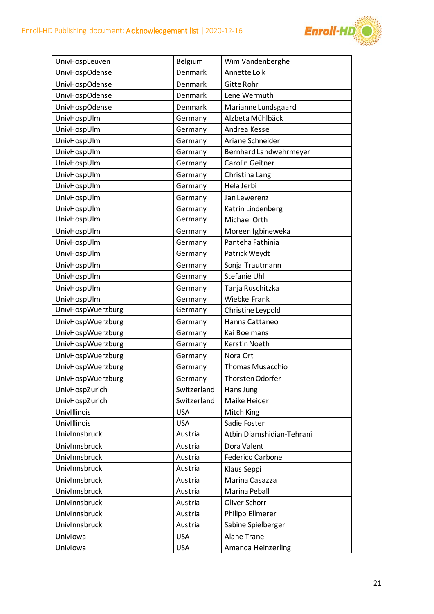

| UnivHospLeuven<br><b>Belgium</b><br>Wim Vandenberghe<br><b>UnivHospOdense</b><br>Denmark<br>Annette Lolk<br><b>UnivHospOdense</b><br>Gitte Rohr<br>Denmark<br><b>UnivHospOdense</b><br>Denmark<br>Lene Wermuth<br><b>UnivHospOdense</b><br>Denmark<br>Marianne Lundsgaard<br>UnivHospUlm<br>Alzbeta Mühlbäck<br>Germany<br>UnivHospUlm<br>Germany<br>Andrea Kesse |  |
|-------------------------------------------------------------------------------------------------------------------------------------------------------------------------------------------------------------------------------------------------------------------------------------------------------------------------------------------------------------------|--|
|                                                                                                                                                                                                                                                                                                                                                                   |  |
|                                                                                                                                                                                                                                                                                                                                                                   |  |
|                                                                                                                                                                                                                                                                                                                                                                   |  |
|                                                                                                                                                                                                                                                                                                                                                                   |  |
|                                                                                                                                                                                                                                                                                                                                                                   |  |
|                                                                                                                                                                                                                                                                                                                                                                   |  |
|                                                                                                                                                                                                                                                                                                                                                                   |  |
| UnivHospUlm<br>Ariane Schneider<br>Germany                                                                                                                                                                                                                                                                                                                        |  |
| UnivHospUlm<br>Germany<br>Bernhard Landwehrmeyer                                                                                                                                                                                                                                                                                                                  |  |
| UnivHospUlm<br>Carolin Geitner<br>Germany                                                                                                                                                                                                                                                                                                                         |  |
| UnivHospUlm<br>Germany<br>Christina Lang                                                                                                                                                                                                                                                                                                                          |  |
| UnivHospUlm<br>Hela Jerbi<br>Germany                                                                                                                                                                                                                                                                                                                              |  |
| UnivHospUlm<br>Germany<br>Jan Lewerenz                                                                                                                                                                                                                                                                                                                            |  |
| UnivHospUlm<br>Germany<br>Katrin Lindenberg                                                                                                                                                                                                                                                                                                                       |  |
| UnivHospUlm<br>Germany<br>Michael Orth                                                                                                                                                                                                                                                                                                                            |  |
| UnivHospUlm<br>Moreen Igbineweka<br>Germany                                                                                                                                                                                                                                                                                                                       |  |
| UnivHospUlm<br>Panteha Fathinia<br>Germany                                                                                                                                                                                                                                                                                                                        |  |
| UnivHospUlm<br>Germany<br>Patrick Weydt                                                                                                                                                                                                                                                                                                                           |  |
| UnivHospUlm<br>Sonja Trautmann<br>Germany                                                                                                                                                                                                                                                                                                                         |  |
| Stefanie Uhl<br>UnivHospUlm<br>Germany                                                                                                                                                                                                                                                                                                                            |  |
| UnivHospUlm<br>Tanja Ruschitzka<br>Germany                                                                                                                                                                                                                                                                                                                        |  |
| UnivHospUlm<br>Wiebke Frank<br>Germany                                                                                                                                                                                                                                                                                                                            |  |
| UnivHospWuerzburg<br>Germany<br>Christine Leypold                                                                                                                                                                                                                                                                                                                 |  |
| UnivHospWuerzburg<br>Hanna Cattaneo<br>Germany                                                                                                                                                                                                                                                                                                                    |  |
| UnivHospWuerzburg<br>Kai Boelmans<br>Germany                                                                                                                                                                                                                                                                                                                      |  |
| UnivHospWuerzburg<br><b>Kerstin Noeth</b><br>Germany                                                                                                                                                                                                                                                                                                              |  |
| <b>UnivHospWuerzburg</b><br>Nora Ort<br>Germany                                                                                                                                                                                                                                                                                                                   |  |
| UnivHospWuerzburg<br><b>Thomas Musacchio</b><br>Germany                                                                                                                                                                                                                                                                                                           |  |
| <b>UnivHospWuerzburg</b><br>Germany<br>Thorsten Odorfer                                                                                                                                                                                                                                                                                                           |  |
| UnivHospZurich<br>Switzerland<br>Hans Jung                                                                                                                                                                                                                                                                                                                        |  |
|                                                                                                                                                                                                                                                                                                                                                                   |  |
| UnivHospZurich<br>Maike Heider<br>Switzerland                                                                                                                                                                                                                                                                                                                     |  |
| UnivIllinois<br><b>USA</b><br>Mitch King                                                                                                                                                                                                                                                                                                                          |  |
| Sadie Foster<br>UnivIllinois<br><b>USA</b>                                                                                                                                                                                                                                                                                                                        |  |
| UnivInnsbruck<br>Austria<br>Atbin Djamshidian-Tehrani                                                                                                                                                                                                                                                                                                             |  |
| UnivInnsbruck<br>Dora Valent<br>Austria                                                                                                                                                                                                                                                                                                                           |  |
| UnivInnsbruck<br>Austria<br><b>Federico Carbone</b>                                                                                                                                                                                                                                                                                                               |  |
| UnivInnsbruck<br>Austria<br>Klaus Seppi                                                                                                                                                                                                                                                                                                                           |  |
| UnivInnsbruck<br>Marina Casazza<br>Austria                                                                                                                                                                                                                                                                                                                        |  |
| UnivInnsbruck<br>Austria<br>Marina Peball                                                                                                                                                                                                                                                                                                                         |  |
| UnivInnsbruck<br>Oliver Schorr<br>Austria                                                                                                                                                                                                                                                                                                                         |  |
| UnivInnsbruck<br>Philipp Ellmerer<br>Austria                                                                                                                                                                                                                                                                                                                      |  |
| UnivInnsbruck<br>Austria<br>Sabine Spielberger                                                                                                                                                                                                                                                                                                                    |  |
| <b>Alane Tranel</b><br><b>USA</b><br>Univlowa                                                                                                                                                                                                                                                                                                                     |  |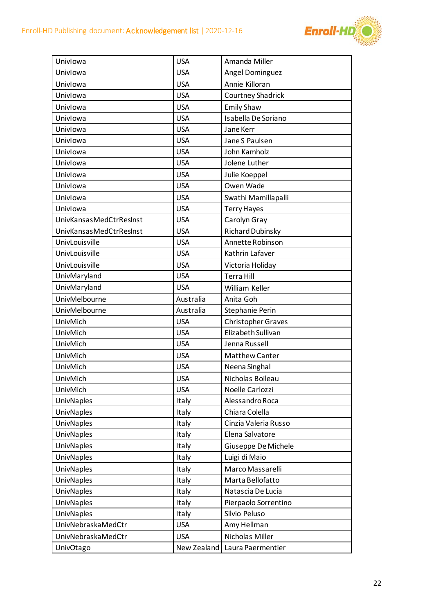

| Univlowa                | <b>USA</b>  | Amanda Miller             |
|-------------------------|-------------|---------------------------|
| Univlowa                | <b>USA</b>  | Angel Dominguez           |
| Univlowa                | <b>USA</b>  | Annie Killoran            |
| Univlowa                | <b>USA</b>  | Courtney Shadrick         |
| Univlowa                | <b>USA</b>  | <b>Emily Shaw</b>         |
| Univlowa                | <b>USA</b>  | Isabella De Soriano       |
| Univlowa                | <b>USA</b>  | Jane Kerr                 |
| Univlowa                | <b>USA</b>  | Jane S Paulsen            |
| Univlowa                | <b>USA</b>  | John Kamholz              |
| Univlowa                | <b>USA</b>  | Jolene Luther             |
| Univlowa                | <b>USA</b>  | Julie Koeppel             |
| Univlowa                | <b>USA</b>  | Owen Wade                 |
| Univlowa                | <b>USA</b>  | Swathi Mamillapalli       |
| Univlowa                | <b>USA</b>  | <b>Terry Hayes</b>        |
| UnivKansasMedCtrResInst | <b>USA</b>  | Carolyn Gray              |
| UnivKansasMedCtrResInst | <b>USA</b>  | Richard Dubinsky          |
| UnivLouisville          | <b>USA</b>  | Annette Robinson          |
| UnivLouisville          | <b>USA</b>  | Kathrin Lafaver           |
| UnivLouisville          | <b>USA</b>  | Victoria Holiday          |
| UnivMaryland            | <b>USA</b>  | <b>Terra Hill</b>         |
| UnivMaryland            | <b>USA</b>  | William Keller            |
| UnivMelbourne           | Australia   | Anita Goh                 |
| UnivMelbourne           | Australia   | Stephanie Perin           |
| UnivMich                | <b>USA</b>  | <b>Christopher Graves</b> |
| UnivMich                | <b>USA</b>  | Elizabeth Sullivan        |
| UnivMich                | <b>USA</b>  | Jenna Russell             |
| UnivMich                | <b>USA</b>  | <b>Matthew Canter</b>     |
| UnivMich                | <b>USA</b>  | Neena Singhal             |
| UnivMich                | <b>USA</b>  | Nicholas Boileau          |
| UnivMich                | <b>USA</b>  | Noelle Carlozzi           |
| <b>UnivNaples</b>       | Italy       | Alessandro Roca           |
| <b>UnivNaples</b>       | Italy       | Chiara Colella            |
| <b>UnivNaples</b>       | Italy       | Cinzia Valeria Russo      |
| <b>UnivNaples</b>       | Italy       | Elena Salvatore           |
| <b>UnivNaples</b>       | Italy       | Giuseppe De Michele       |
| <b>UnivNaples</b>       | Italy       | Luigi di Maio             |
| <b>UnivNaples</b>       | Italy       | Marco Massarelli          |
| <b>UnivNaples</b>       | Italy       | Marta Bellofatto          |
| <b>UnivNaples</b>       | Italy       | Natascia De Lucia         |
| <b>UnivNaples</b>       | Italy       | Pierpaolo Sorrentino      |
| UnivNaples              | Italy       | Silvio Peluso             |
| UnivNebraskaMedCtr      | <b>USA</b>  | Amy Hellman               |
| UnivNebraskaMedCtr      | <b>USA</b>  | Nicholas Miller           |
| UnivOtago               | New Zealand | Laura Paermentier         |
|                         |             |                           |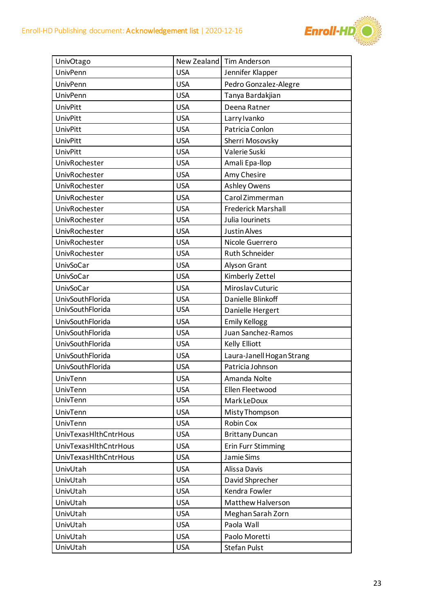

| UnivOtago             | New Zealand | <b>Tim Anderson</b>       |
|-----------------------|-------------|---------------------------|
| <b>UnivPenn</b>       | <b>USA</b>  | Jennifer Klapper          |
| UnivPenn              | <b>USA</b>  | Pedro Gonzalez-Alegre     |
| <b>UnivPenn</b>       | <b>USA</b>  | Tanya Bardakjian          |
| UnivPitt              | <b>USA</b>  | Deena Ratner              |
| <b>UnivPitt</b>       | <b>USA</b>  | Larry Ivanko              |
| UnivPitt              | <b>USA</b>  | Patricia Conlon           |
| UnivPitt              | <b>USA</b>  | Sherri Mosovsky           |
| UnivPitt              | <b>USA</b>  | Valerie Suski             |
| UnivRochester         | <b>USA</b>  | Amali Epa-Ilop            |
| UnivRochester         | <b>USA</b>  | Amy Chesire               |
| UnivRochester         | <b>USA</b>  | <b>Ashley Owens</b>       |
| UnivRochester         | <b>USA</b>  | Carol Zimmerman           |
| UnivRochester         | <b>USA</b>  | <b>Frederick Marshall</b> |
| UnivRochester         | <b>USA</b>  | Julia Iourinets           |
| UnivRochester         | <b>USA</b>  | <b>Justin Alves</b>       |
| UnivRochester         | <b>USA</b>  | Nicole Guerrero           |
| UnivRochester         | <b>USA</b>  | Ruth Schneider            |
| UnivSoCar             | <b>USA</b>  | Alyson Grant              |
| UnivSoCar             | <b>USA</b>  | Kimberly Zettel           |
| <b>UnivSoCar</b>      | <b>USA</b>  | Miroslav Cuturic          |
| UnivSouthFlorida      | <b>USA</b>  | Danielle Blinkoff         |
| UnivSouthFlorida      | <b>USA</b>  | Danielle Hergert          |
| UnivSouthFlorida      | <b>USA</b>  | <b>Emily Kellogg</b>      |
| UnivSouthFlorida      | <b>USA</b>  | Juan Sanchez-Ramos        |
| UnivSouthFlorida      | <b>USA</b>  | Kelly Elliott             |
| UnivSouthFlorida      | <b>USA</b>  | Laura-Janell Hogan Strang |
| UnivSouthFlorida      | <b>USA</b>  | Patricia Johnson          |
| UnivTenn              | <b>USA</b>  | Amanda Nolte              |
| UnivTenn              | <b>USA</b>  | Ellen Fleetwood           |
| UnivTenn              | <b>USA</b>  | Mark LeDoux               |
| UnivTenn              | <b>USA</b>  | Misty Thompson            |
| UnivTenn              | <b>USA</b>  | Robin Cox                 |
| UnivTexasHlthCntrHous | <b>USA</b>  | <b>Brittany Duncan</b>    |
| UnivTexasHlthCntrHous | <b>USA</b>  | <b>Erin Furr Stimming</b> |
| UnivTexasHlthCntrHous | <b>USA</b>  | Jamie Sims                |
| UnivUtah              | <b>USA</b>  | Alissa Davis              |
| UnivUtah              | <b>USA</b>  | David Shprecher           |
| UnivUtah              | <b>USA</b>  | Kendra Fowler             |
| UnivUtah              | <b>USA</b>  | Matthew Halverson         |
| UnivUtah              | <b>USA</b>  | Meghan Sarah Zorn         |
| UnivUtah              | <b>USA</b>  | Paola Wall                |
| UnivUtah              | <b>USA</b>  | Paolo Moretti             |
| UnivUtah              | <b>USA</b>  | <b>Stefan Pulst</b>       |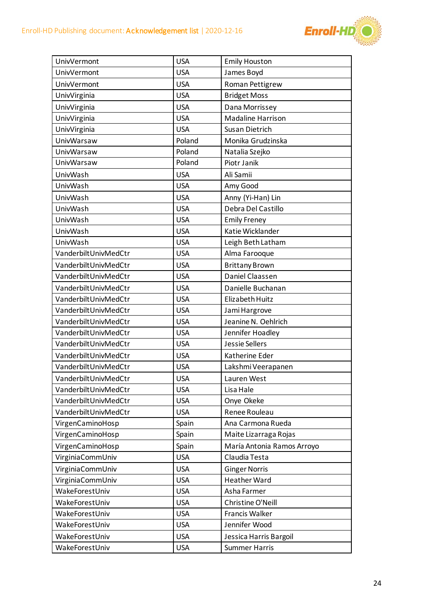

| <b>UnivVermont</b>   | <b>USA</b> | <b>Emily Houston</b>       |
|----------------------|------------|----------------------------|
| <b>UnivVermont</b>   | <b>USA</b> | James Boyd                 |
| <b>UnivVermont</b>   | <b>USA</b> | Roman Pettigrew            |
| UnivVirginia         | <b>USA</b> | <b>Bridget Moss</b>        |
| UnivVirginia         | <b>USA</b> | Dana Morrissey             |
| UnivVirginia         | <b>USA</b> | <b>Madaline Harrison</b>   |
| UnivVirginia         | <b>USA</b> | Susan Dietrich             |
| <b>UnivWarsaw</b>    | Poland     | Monika Grudzinska          |
| UnivWarsaw           | Poland     | Natalia Szejko             |
| UnivWarsaw           | Poland     | Piotr Janik                |
| UnivWash             | <b>USA</b> | Ali Samii                  |
| UnivWash             | <b>USA</b> | Amy Good                   |
| UnivWash             | <b>USA</b> | Anny (Yi-Han) Lin          |
| UnivWash             | <b>USA</b> | Debra Del Castillo         |
| UnivWash             | <b>USA</b> | <b>Emily Freney</b>        |
| UnivWash             | <b>USA</b> | Katie Wicklander           |
| UnivWash             | <b>USA</b> | Leigh Beth Latham          |
| VanderbiltUnivMedCtr | <b>USA</b> | Alma Farooque              |
| VanderbiltUnivMedCtr | <b>USA</b> | <b>Brittany Brown</b>      |
| VanderbiltUnivMedCtr | <b>USA</b> | Daniel Claassen            |
| VanderbiltUnivMedCtr | <b>USA</b> | Danielle Buchanan          |
| VanderbiltUnivMedCtr | <b>USA</b> | Elizabeth Huitz            |
| VanderbiltUnivMedCtr | <b>USA</b> | Jami Hargrove              |
| VanderbiltUnivMedCtr | <b>USA</b> | Jeanine N. Oehlrich        |
| VanderbiltUnivMedCtr | <b>USA</b> | Jennifer Hoadley           |
| VanderbiltUnivMedCtr | <b>USA</b> | Jessie Sellers             |
| VanderbiltUnivMedCtr | <b>USA</b> | Katherine Eder             |
| VanderbiltUnivMedCtr | <b>USA</b> | Lakshmi Veerapanen         |
| VanderbiltUnivMedCtr | <b>USA</b> | Lauren West                |
| VanderbiltUnivMedCtr | <b>USA</b> | Lisa Hale                  |
| VanderbiltUnivMedCtr | <b>USA</b> | Onye Okeke                 |
| VanderbiltUnivMedCtr | <b>USA</b> | Renee Rouleau              |
| VirgenCaminoHosp     | Spain      | Ana Carmona Rueda          |
| VirgenCaminoHosp     | Spain      | Maite Lizarraga Rojas      |
| VirgenCaminoHosp     | Spain      | María Antonia Ramos Arroyo |
| VirginiaCommUniv     | <b>USA</b> | Claudia Testa              |
| VirginiaCommUniv     | <b>USA</b> | <b>Ginger Norris</b>       |
| VirginiaCommUniv     | <b>USA</b> | <b>Heather Ward</b>        |
| WakeForestUniv       | <b>USA</b> | Asha Farmer                |
| WakeForestUniv       | <b>USA</b> | Christine O'Neill          |
| WakeForestUniv       | <b>USA</b> | Francis Walker             |
| WakeForestUniv       | <b>USA</b> | Jennifer Wood              |
| WakeForestUniv       | <b>USA</b> | Jessica Harris Bargoil     |
| WakeForestUniv       | <b>USA</b> | <b>Summer Harris</b>       |